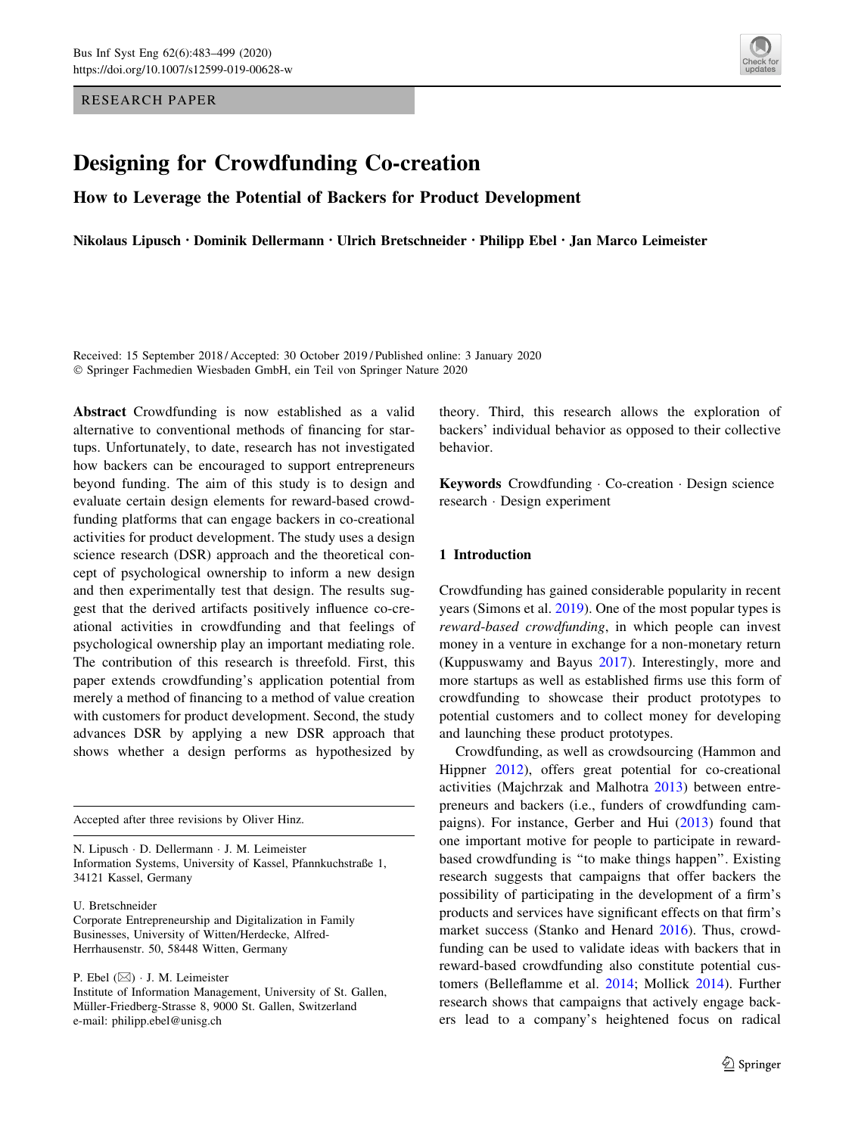RESEARCH PAPER



# Designing for Crowdfunding Co-creation

How to Leverage the Potential of Backers for Product Development

Nikolaus Lipusch • Dominik Dellermann • Ulrich Bretschneider • Philipp Ebel • Jan Marco Leimeister

Received: 15 September 2018 / Accepted: 30 October 2019 / Published online: 3 January 2020 - Springer Fachmedien Wiesbaden GmbH, ein Teil von Springer Nature 2020

Abstract Crowdfunding is now established as a valid alternative to conventional methods of financing for startups. Unfortunately, to date, research has not investigated how backers can be encouraged to support entrepreneurs beyond funding. The aim of this study is to design and evaluate certain design elements for reward-based crowdfunding platforms that can engage backers in co-creational activities for product development. The study uses a design science research (DSR) approach and the theoretical concept of psychological ownership to inform a new design and then experimentally test that design. The results suggest that the derived artifacts positively influence co-creational activities in crowdfunding and that feelings of psychological ownership play an important mediating role. The contribution of this research is threefold. First, this paper extends crowdfunding's application potential from merely a method of financing to a method of value creation with customers for product development. Second, the study advances DSR by applying a new DSR approach that shows whether a design performs as hypothesized by

Accepted after three revisions by Oliver Hinz.

N. Lipusch - D. Dellermann - J. M. Leimeister Information Systems, University of Kassel, Pfannkuchstraße 1, 34121 Kassel, Germany

U. Bretschneider

Corporate Entrepreneurship and Digitalization in Family Businesses, University of Witten/Herdecke, Alfred-Herrhausenstr. 50, 58448 Witten, Germany

P. Ebel (⊠) · J. M. Leimeister

Institute of Information Management, University of St. Gallen, Müller-Friedberg-Strasse 8, 9000 St. Gallen, Switzerland e-mail: philipp.ebel@unisg.ch

theory. Third, this research allows the exploration of backers' individual behavior as opposed to their collective behavior.

Keywords Crowdfunding - Co-creation - Design science research - Design experiment

## 1 Introduction

Crowdfunding has gained considerable popularity in recent years (Simons et al. [2019\)](#page-15-0). One of the most popular types is reward-based crowdfunding, in which people can invest money in a venture in exchange for a non-monetary return (Kuppuswamy and Bayus [2017](#page-15-0)). Interestingly, more and more startups as well as established firms use this form of crowdfunding to showcase their product prototypes to potential customers and to collect money for developing and launching these product prototypes.

Crowdfunding, as well as crowdsourcing (Hammon and Hippner [2012](#page-14-0)), offers great potential for co-creational activities (Majchrzak and Malhotra [2013\)](#page-15-0) between entrepreneurs and backers (i.e., funders of crowdfunding campaigns). For instance, Gerber and Hui ([2013\)](#page-14-0) found that one important motive for people to participate in rewardbased crowdfunding is ''to make things happen''. Existing research suggests that campaigns that offer backers the possibility of participating in the development of a firm's products and services have significant effects on that firm's market success (Stanko and Henard [2016](#page-15-0)). Thus, crowdfunding can be used to validate ideas with backers that in reward-based crowdfunding also constitute potential customers (Belleflamme et al. [2014;](#page-14-0) Mollick [2014\)](#page-15-0). Further research shows that campaigns that actively engage backers lead to a company's heightened focus on radical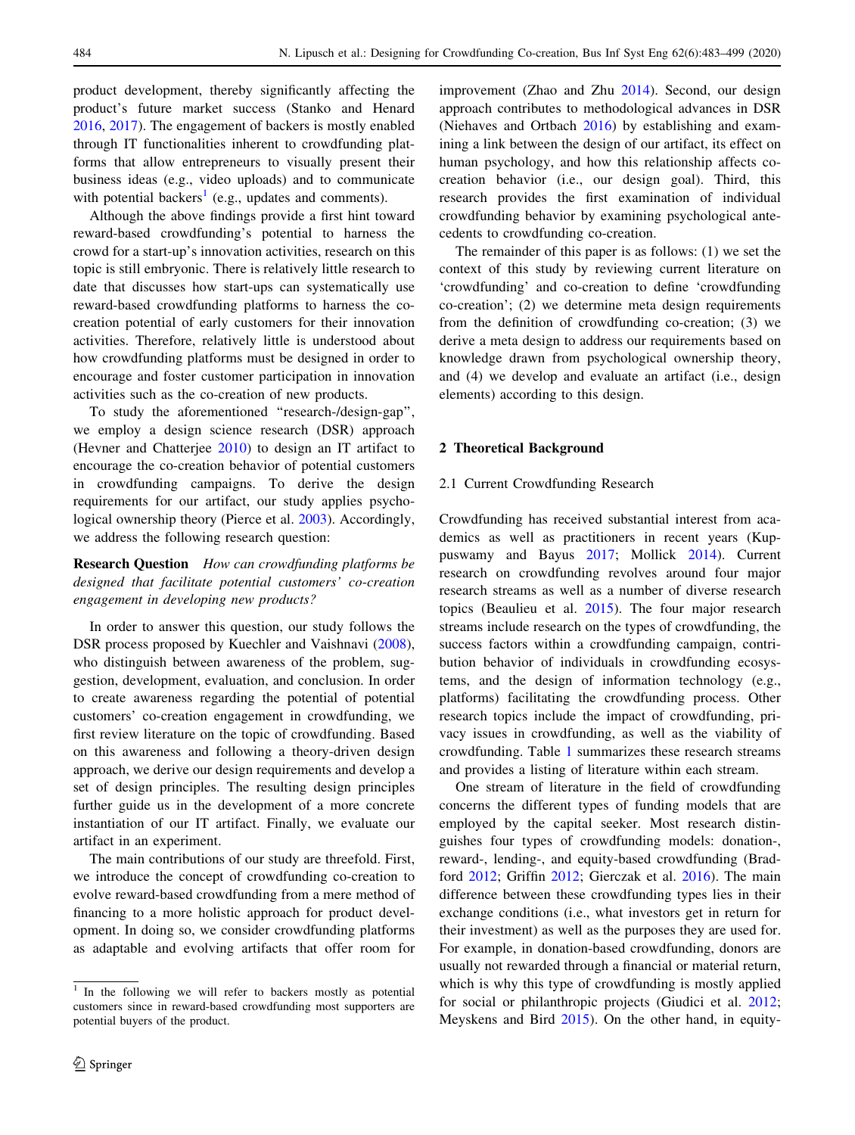product development, thereby significantly affecting the product's future market success (Stanko and Henard [2016,](#page-15-0) [2017](#page-15-0)). The engagement of backers is mostly enabled through IT functionalities inherent to crowdfunding platforms that allow entrepreneurs to visually present their business ideas (e.g., video uploads) and to communicate with potential backers<sup>1</sup> (e.g., updates and comments).

Although the above findings provide a first hint toward reward-based crowdfunding's potential to harness the crowd for a start-up's innovation activities, research on this topic is still embryonic. There is relatively little research to date that discusses how start-ups can systematically use reward-based crowdfunding platforms to harness the cocreation potential of early customers for their innovation activities. Therefore, relatively little is understood about how crowdfunding platforms must be designed in order to encourage and foster customer participation in innovation activities such as the co-creation of new products.

To study the aforementioned ''research-/design-gap'', we employ a design science research (DSR) approach (Hevner and Chatterjee [2010\)](#page-14-0) to design an IT artifact to encourage the co-creation behavior of potential customers in crowdfunding campaigns. To derive the design requirements for our artifact, our study applies psycho-logical ownership theory (Pierce et al. [2003\)](#page-15-0). Accordingly, we address the following research question:

# Research Question How can crowdfunding platforms be designed that facilitate potential customers' co-creation engagement in developing new products?

In order to answer this question, our study follows the DSR process proposed by Kuechler and Vaishnavi [\(2008](#page-15-0)), who distinguish between awareness of the problem, suggestion, development, evaluation, and conclusion. In order to create awareness regarding the potential of potential customers' co-creation engagement in crowdfunding, we first review literature on the topic of crowdfunding. Based on this awareness and following a theory-driven design approach, we derive our design requirements and develop a set of design principles. The resulting design principles further guide us in the development of a more concrete instantiation of our IT artifact. Finally, we evaluate our artifact in an experiment.

The main contributions of our study are threefold. First, we introduce the concept of crowdfunding co-creation to evolve reward-based crowdfunding from a mere method of financing to a more holistic approach for product development. In doing so, we consider crowdfunding platforms as adaptable and evolving artifacts that offer room for improvement (Zhao and Zhu [2014\)](#page-16-0). Second, our design approach contributes to methodological advances in DSR (Niehaves and Ortbach [2016](#page-15-0)) by establishing and examining a link between the design of our artifact, its effect on human psychology, and how this relationship affects cocreation behavior (i.e., our design goal). Third, this research provides the first examination of individual crowdfunding behavior by examining psychological antecedents to crowdfunding co-creation.

The remainder of this paper is as follows: (1) we set the context of this study by reviewing current literature on 'crowdfunding' and co-creation to define 'crowdfunding co-creation'; (2) we determine meta design requirements from the definition of crowdfunding co-creation; (3) we derive a meta design to address our requirements based on knowledge drawn from psychological ownership theory, and (4) we develop and evaluate an artifact (i.e., design elements) according to this design.

#### 2 Theoretical Background

#### 2.1 Current Crowdfunding Research

Crowdfunding has received substantial interest from academics as well as practitioners in recent years (Kuppuswamy and Bayus [2017;](#page-15-0) Mollick [2014\)](#page-15-0). Current research on crowdfunding revolves around four major research streams as well as a number of diverse research topics (Beaulieu et al. [2015\)](#page-13-0). The four major research streams include research on the types of crowdfunding, the success factors within a crowdfunding campaign, contribution behavior of individuals in crowdfunding ecosystems, and the design of information technology (e.g., platforms) facilitating the crowdfunding process. Other research topics include the impact of crowdfunding, privacy issues in crowdfunding, as well as the viability of crowdfunding. Table [1](#page-2-0) summarizes these research streams and provides a listing of literature within each stream.

One stream of literature in the field of crowdfunding concerns the different types of funding models that are employed by the capital seeker. Most research distinguishes four types of crowdfunding models: donation-, reward-, lending-, and equity-based crowdfunding (Bradford [2012;](#page-14-0) Griffin [2012;](#page-14-0) Gierczak et al. [2016](#page-14-0)). The main difference between these crowdfunding types lies in their exchange conditions (i.e., what investors get in return for their investment) as well as the purposes they are used for. For example, in donation-based crowdfunding, donors are usually not rewarded through a financial or material return, which is why this type of crowdfunding is mostly applied for social or philanthropic projects (Giudici et al. [2012](#page-14-0); Meyskens and Bird [2015\)](#page-15-0). On the other hand, in equity-

<sup>&</sup>lt;sup>1</sup> In the following we will refer to backers mostly as potential customers since in reward-based crowdfunding most supporters are potential buyers of the product.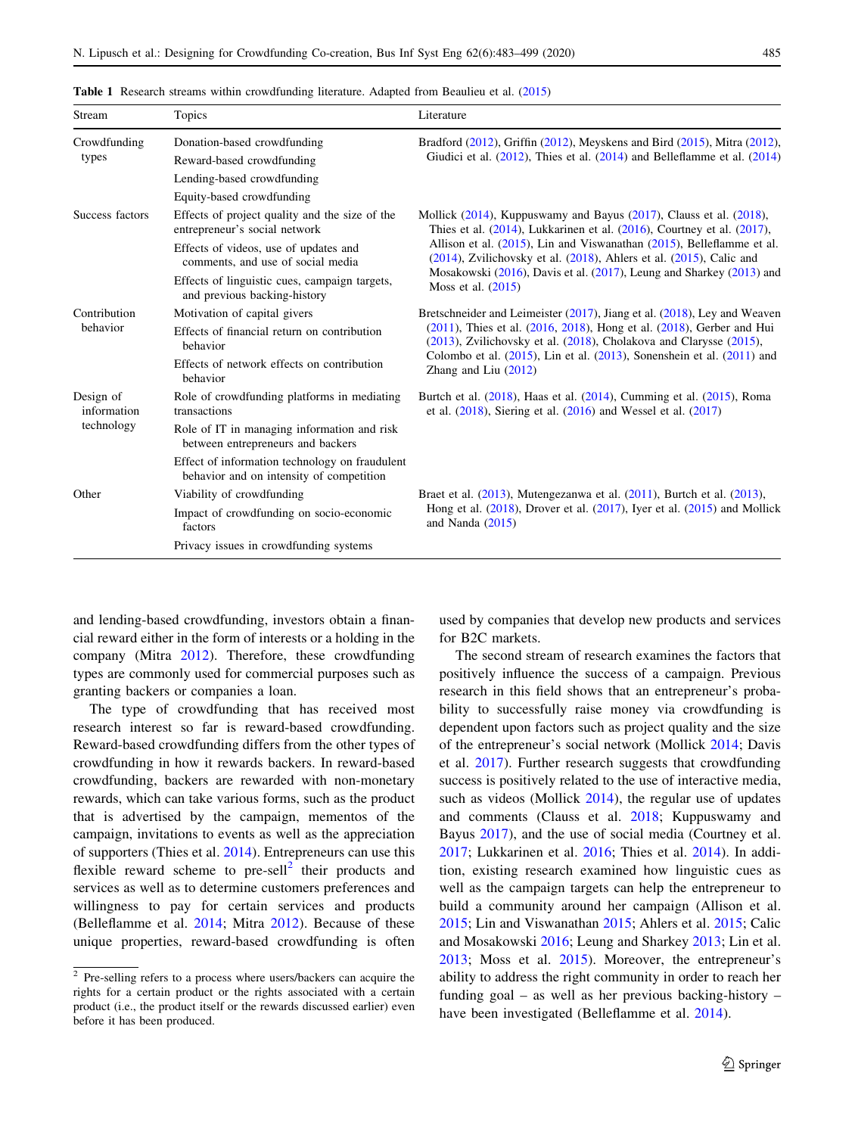| Stream                                 | Topics                                                                                                                                                                                                                                         | Literature                                                                                                                                                                                                                                                                                                                                                                                                     |
|----------------------------------------|------------------------------------------------------------------------------------------------------------------------------------------------------------------------------------------------------------------------------------------------|----------------------------------------------------------------------------------------------------------------------------------------------------------------------------------------------------------------------------------------------------------------------------------------------------------------------------------------------------------------------------------------------------------------|
| Crowdfunding<br>types                  | Donation-based crowdfunding<br>Reward-based crowdfunding<br>Lending-based crowdfunding<br>Equity-based crowdfunding                                                                                                                            | Bradford (2012), Griffin (2012), Meyskens and Bird (2015), Mitra (2012),<br>Giudici et al. $(2012)$ , Thies et al. $(2014)$ and Belleflamme et al. $(2014)$                                                                                                                                                                                                                                                    |
| Success factors                        | Effects of project quality and the size of the<br>entrepreneur's social network<br>Effects of videos, use of updates and<br>comments, and use of social media<br>Effects of linguistic cues, campaign targets,<br>and previous backing-history | Mollick (2014), Kuppuswamy and Bayus (2017), Clauss et al. (2018),<br>Thies et al. $(2014)$ , Lukkarinen et al. $(2016)$ , Courtney et al. $(2017)$ ,<br>Allison et al. (2015), Lin and Viswanathan (2015), Belleflamme et al.<br>$(2014)$ , Zvilichovsky et al. $(2018)$ , Ahlers et al. $(2015)$ , Calic and<br>Mosakowski (2016), Davis et al. (2017), Leung and Sharkey (2013) and<br>Moss et al. $(2015)$ |
| Contribution<br>behavior               | Motivation of capital givers<br>Effects of financial return on contribution<br>behavior<br>Effects of network effects on contribution<br>behavior                                                                                              | Bretschneider and Leimeister $(2017)$ , Jiang et al. $(2018)$ , Ley and Weaven<br>$(2011)$ , Thies et al. $(2016, 2018)$ , Hong et al. $(2018)$ , Gerber and Hui<br>$(2013)$ , Zvilichovsky et al. $(2018)$ , Cholakova and Clarysse $(2015)$ ,<br>Colombo et al. $(2015)$ , Lin et al. $(2013)$ , Sonenshein et al. $(2011)$ and<br>Zhang and Liu $(2012)$                                                    |
| Design of<br>information<br>technology | Role of crowdfunding platforms in mediating<br>transactions<br>Role of IT in managing information and risk<br>between entrepreneurs and backers<br>Effect of information technology on fraudulent<br>behavior and on intensity of competition  | Burtch et al. (2018), Haas et al. (2014), Cumming et al. (2015), Roma<br>et al. $(2018)$ , Siering et al. $(2016)$ and Wessel et al. $(2017)$                                                                                                                                                                                                                                                                  |
| Other                                  | Viability of crowdfunding<br>Impact of crowdfunding on socio-economic<br>factors<br>Privacy issues in crowdfunding systems                                                                                                                     | Braet et al. $(2013)$ , Mutengezanwa et al. $(2011)$ , Burtch et al. $(2013)$ ,<br>Hong et al. $(2018)$ , Drover et al. $(2017)$ , Iyer et al. $(2015)$ and Mollick<br>and Nanda $(2015)$                                                                                                                                                                                                                      |

<span id="page-2-0"></span>Table 1 Research streams within crowdfunding literature. Adapted from Beaulieu et al. [\(2015](#page-13-0))

and lending-based crowdfunding, investors obtain a financial reward either in the form of interests or a holding in the company (Mitra [2012\)](#page-15-0). Therefore, these crowdfunding types are commonly used for commercial purposes such as granting backers or companies a loan.

The type of crowdfunding that has received most research interest so far is reward-based crowdfunding. Reward-based crowdfunding differs from the other types of crowdfunding in how it rewards backers. In reward-based crowdfunding, backers are rewarded with non-monetary rewards, which can take various forms, such as the product that is advertised by the campaign, mementos of the campaign, invitations to events as well as the appreciation of supporters (Thies et al. [2014\)](#page-16-0). Entrepreneurs can use this flexible reward scheme to  $pre-sell<sup>2</sup>$  their products and services as well as to determine customers preferences and willingness to pay for certain services and products (Belleflamme et al. [2014](#page-14-0); Mitra [2012\)](#page-15-0). Because of these unique properties, reward-based crowdfunding is often used by companies that develop new products and services for B2C markets.

The second stream of research examines the factors that positively influence the success of a campaign. Previous research in this field shows that an entrepreneur's probability to successfully raise money via crowdfunding is dependent upon factors such as project quality and the size of the entrepreneur's social network (Mollick [2014;](#page-15-0) Davis et al. [2017](#page-14-0)). Further research suggests that crowdfunding success is positively related to the use of interactive media, such as videos (Mollick [2014\)](#page-15-0), the regular use of updates and comments (Clauss et al. [2018](#page-14-0); Kuppuswamy and Bayus [2017](#page-15-0)), and the use of social media (Courtney et al. [2017](#page-14-0); Lukkarinen et al. [2016](#page-15-0); Thies et al. [2014](#page-16-0)). In addition, existing research examined how linguistic cues as well as the campaign targets can help the entrepreneur to build a community around her campaign (Allison et al. [2015](#page-13-0); Lin and Viswanathan [2015](#page-15-0); Ahlers et al. [2015;](#page-13-0) Calic and Mosakowski [2016;](#page-14-0) Leung and Sharkey [2013;](#page-15-0) Lin et al. [2013](#page-15-0); Moss et al. [2015\)](#page-15-0). Moreover, the entrepreneur's ability to address the right community in order to reach her funding goal – as well as her previous backing-history – have been investigated (Belleflamme et al. [2014](#page-14-0)).

 $\frac{2}{2}$  Pre-selling refers to a process where users/backers can acquire the rights for a certain product or the rights associated with a certain product (i.e., the product itself or the rewards discussed earlier) even before it has been produced.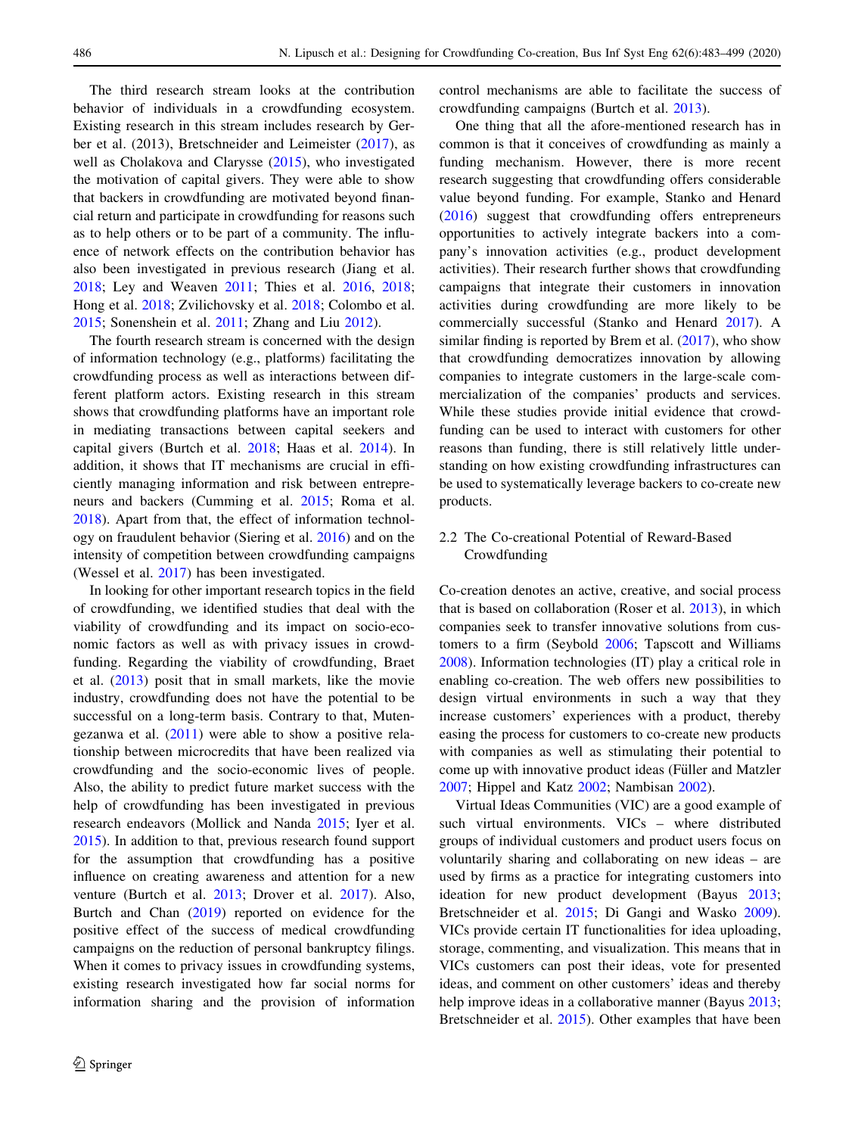The third research stream looks at the contribution behavior of individuals in a crowdfunding ecosystem. Existing research in this stream includes research by Gerber et al. (2013), Bretschneider and Leimeister [\(2017](#page-14-0)), as well as Cholakova and Clarysse [\(2015](#page-14-0)), who investigated the motivation of capital givers. They were able to show that backers in crowdfunding are motivated beyond financial return and participate in crowdfunding for reasons such as to help others or to be part of a community. The influence of network effects on the contribution behavior has also been investigated in previous research (Jiang et al. [2018;](#page-15-0) Ley and Weaven [2011;](#page-15-0) Thies et al. [2016,](#page-16-0) [2018](#page-16-0); Hong et al. [2018;](#page-14-0) Zvilichovsky et al. [2018](#page-16-0); Colombo et al. [2015;](#page-14-0) Sonenshein et al. [2011](#page-15-0); Zhang and Liu [2012](#page-16-0)).

The fourth research stream is concerned with the design of information technology (e.g., platforms) facilitating the crowdfunding process as well as interactions between different platform actors. Existing research in this stream shows that crowdfunding platforms have an important role in mediating transactions between capital seekers and capital givers (Burtch et al. [2018;](#page-14-0) Haas et al. [2014](#page-14-0)). In addition, it shows that IT mechanisms are crucial in efficiently managing information and risk between entrepreneurs and backers (Cumming et al. [2015;](#page-14-0) Roma et al. [2018\)](#page-15-0). Apart from that, the effect of information technology on fraudulent behavior (Siering et al. [2016\)](#page-15-0) and on the intensity of competition between crowdfunding campaigns (Wessel et al. [2017](#page-16-0)) has been investigated.

In looking for other important research topics in the field of crowdfunding, we identified studies that deal with the viability of crowdfunding and its impact on socio-economic factors as well as with privacy issues in crowdfunding. Regarding the viability of crowdfunding, Braet et al. [\(2013](#page-14-0)) posit that in small markets, like the movie industry, crowdfunding does not have the potential to be successful on a long-term basis. Contrary to that, Mutengezanwa et al. [\(2011](#page-15-0)) were able to show a positive relationship between microcredits that have been realized via crowdfunding and the socio-economic lives of people. Also, the ability to predict future market success with the help of crowdfunding has been investigated in previous research endeavors (Mollick and Nanda [2015;](#page-15-0) Iyer et al. [2015\)](#page-14-0). In addition to that, previous research found support for the assumption that crowdfunding has a positive influence on creating awareness and attention for a new venture (Burtch et al. [2013;](#page-14-0) Drover et al. [2017\)](#page-14-0). Also, Burtch and Chan [\(2019](#page-14-0)) reported on evidence for the positive effect of the success of medical crowdfunding campaigns on the reduction of personal bankruptcy filings. When it comes to privacy issues in crowdfunding systems, existing research investigated how far social norms for information sharing and the provision of information

control mechanisms are able to facilitate the success of crowdfunding campaigns (Burtch et al. [2013](#page-14-0)).

One thing that all the afore-mentioned research has in common is that it conceives of crowdfunding as mainly a funding mechanism. However, there is more recent research suggesting that crowdfunding offers considerable value beyond funding. For example, Stanko and Henard [\(2016](#page-15-0)) suggest that crowdfunding offers entrepreneurs opportunities to actively integrate backers into a company's innovation activities (e.g., product development activities). Their research further shows that crowdfunding campaigns that integrate their customers in innovation activities during crowdfunding are more likely to be commercially successful (Stanko and Henard [2017\)](#page-15-0). A similar finding is reported by Brem et al.  $(2017)$  $(2017)$ , who show that crowdfunding democratizes innovation by allowing companies to integrate customers in the large-scale commercialization of the companies' products and services. While these studies provide initial evidence that crowdfunding can be used to interact with customers for other reasons than funding, there is still relatively little understanding on how existing crowdfunding infrastructures can be used to systematically leverage backers to co-create new products.

## 2.2 The Co-creational Potential of Reward-Based Crowdfunding

Co-creation denotes an active, creative, and social process that is based on collaboration (Roser et al. [2013](#page-15-0)), in which companies seek to transfer innovative solutions from customers to a firm (Seybold [2006;](#page-15-0) Tapscott and Williams [2008](#page-16-0)). Information technologies (IT) play a critical role in enabling co-creation. The web offers new possibilities to design virtual environments in such a way that they increase customers' experiences with a product, thereby easing the process for customers to co-create new products with companies as well as stimulating their potential to come up with innovative product ideas (Füller and Matzler [2007](#page-14-0); Hippel and Katz [2002;](#page-14-0) Nambisan [2002\)](#page-15-0).

Virtual Ideas Communities (VIC) are a good example of such virtual environments. VICs – where distributed groups of individual customers and product users focus on voluntarily sharing and collaborating on new ideas – are used by firms as a practice for integrating customers into ideation for new product development (Bayus [2013](#page-13-0); Bretschneider et al. [2015;](#page-14-0) Di Gangi and Wasko [2009](#page-14-0)). VICs provide certain IT functionalities for idea uploading, storage, commenting, and visualization. This means that in VICs customers can post their ideas, vote for presented ideas, and comment on other customers' ideas and thereby help improve ideas in a collaborative manner (Bayus [2013](#page-13-0); Bretschneider et al. [2015\)](#page-14-0). Other examples that have been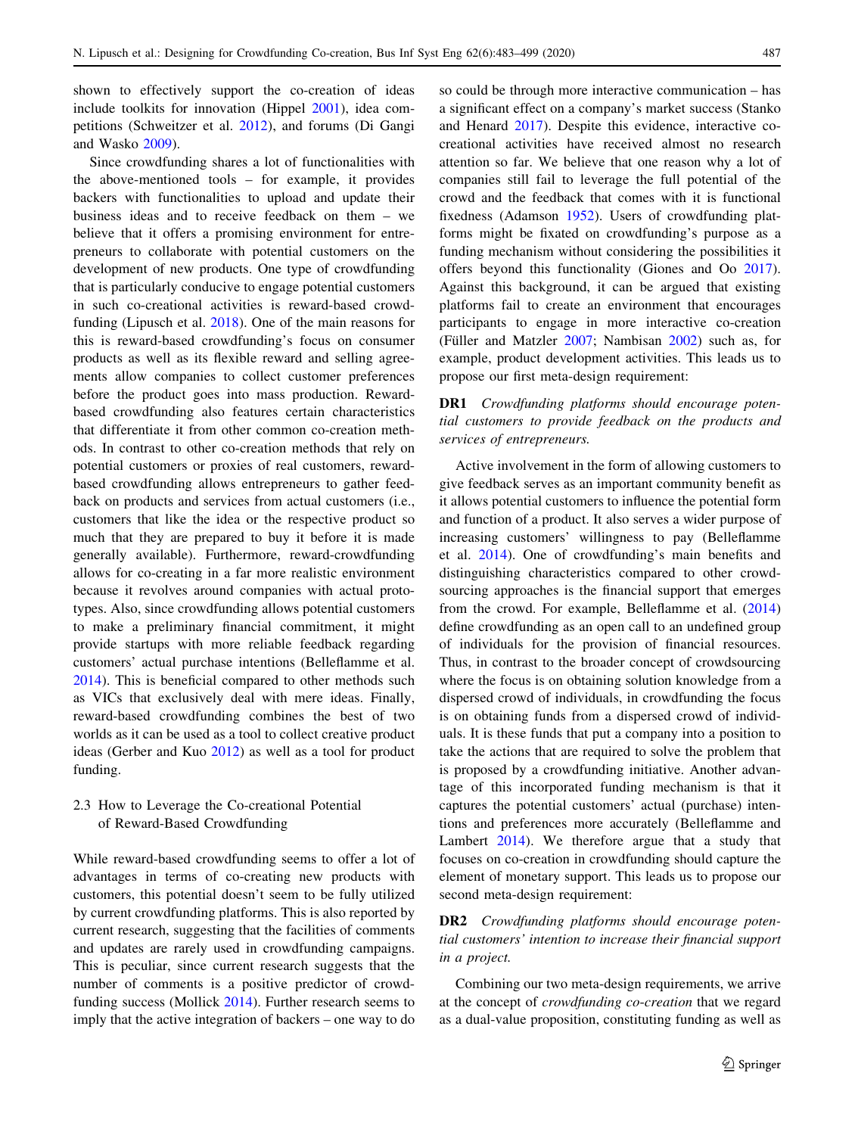<span id="page-4-0"></span>shown to effectively support the co-creation of ideas include toolkits for innovation (Hippel [2001](#page-14-0)), idea competitions (Schweitzer et al. [2012\)](#page-15-0), and forums (Di Gangi and Wasko [2009\)](#page-14-0).

Since crowdfunding shares a lot of functionalities with the above-mentioned tools – for example, it provides backers with functionalities to upload and update their business ideas and to receive feedback on them – we believe that it offers a promising environment for entrepreneurs to collaborate with potential customers on the development of new products. One type of crowdfunding that is particularly conducive to engage potential customers in such co-creational activities is reward-based crowdfunding (Lipusch et al. [2018\)](#page-15-0). One of the main reasons for this is reward-based crowdfunding's focus on consumer products as well as its flexible reward and selling agreements allow companies to collect customer preferences before the product goes into mass production. Rewardbased crowdfunding also features certain characteristics that differentiate it from other common co-creation methods. In contrast to other co-creation methods that rely on potential customers or proxies of real customers, rewardbased crowdfunding allows entrepreneurs to gather feedback on products and services from actual customers (i.e., customers that like the idea or the respective product so much that they are prepared to buy it before it is made generally available). Furthermore, reward-crowdfunding allows for co-creating in a far more realistic environment because it revolves around companies with actual prototypes. Also, since crowdfunding allows potential customers to make a preliminary financial commitment, it might provide startups with more reliable feedback regarding customers' actual purchase intentions (Belleflamme et al. [2014\)](#page-14-0). This is beneficial compared to other methods such as VICs that exclusively deal with mere ideas. Finally, reward-based crowdfunding combines the best of two worlds as it can be used as a tool to collect creative product ideas (Gerber and Kuo [2012](#page-14-0)) as well as a tool for product funding.

## 2.3 How to Leverage the Co-creational Potential of Reward-Based Crowdfunding

While reward-based crowdfunding seems to offer a lot of advantages in terms of co-creating new products with customers, this potential doesn't seem to be fully utilized by current crowdfunding platforms. This is also reported by current research, suggesting that the facilities of comments and updates are rarely used in crowdfunding campaigns. This is peculiar, since current research suggests that the number of comments is a positive predictor of crowd-funding success (Mollick [2014](#page-15-0)). Further research seems to imply that the active integration of backers – one way to do so could be through more interactive communication – has a significant effect on a company's market success (Stanko and Henard [2017\)](#page-15-0). Despite this evidence, interactive cocreational activities have received almost no research attention so far. We believe that one reason why a lot of companies still fail to leverage the full potential of the crowd and the feedback that comes with it is functional fixedness (Adamson [1952](#page-13-0)). Users of crowdfunding platforms might be fixated on crowdfunding's purpose as a funding mechanism without considering the possibilities it offers beyond this functionality (Giones and Oo [2017](#page-14-0)). Against this background, it can be argued that existing platforms fail to create an environment that encourages participants to engage in more interactive co-creation (Füller and Matzler  $2007$ ; Nambisan  $2002$ ) such as, for example, product development activities. This leads us to propose our first meta-design requirement:

# DR1 Crowdfunding platforms should encourage potential customers to provide feedback on the products and services of entrepreneurs.

Active involvement in the form of allowing customers to give feedback serves as an important community benefit as it allows potential customers to influence the potential form and function of a product. It also serves a wider purpose of increasing customers' willingness to pay (Belleflamme et al. [2014\)](#page-14-0). One of crowdfunding's main benefits and distinguishing characteristics compared to other crowdsourcing approaches is the financial support that emerges from the crowd. For example, Belleflamme et al. ([2014\)](#page-14-0) define crowdfunding as an open call to an undefined group of individuals for the provision of financial resources. Thus, in contrast to the broader concept of crowdsourcing where the focus is on obtaining solution knowledge from a dispersed crowd of individuals, in crowdfunding the focus is on obtaining funds from a dispersed crowd of individuals. It is these funds that put a company into a position to take the actions that are required to solve the problem that is proposed by a crowdfunding initiative. Another advantage of this incorporated funding mechanism is that it captures the potential customers' actual (purchase) intentions and preferences more accurately (Belleflamme and Lambert [2014](#page-14-0)). We therefore argue that a study that focuses on co-creation in crowdfunding should capture the element of monetary support. This leads us to propose our second meta-design requirement:

# DR2 Crowdfunding platforms should encourage potential customers' intention to increase their financial support in a project.

Combining our two meta-design requirements, we arrive at the concept of crowdfunding co-creation that we regard as a dual-value proposition, constituting funding as well as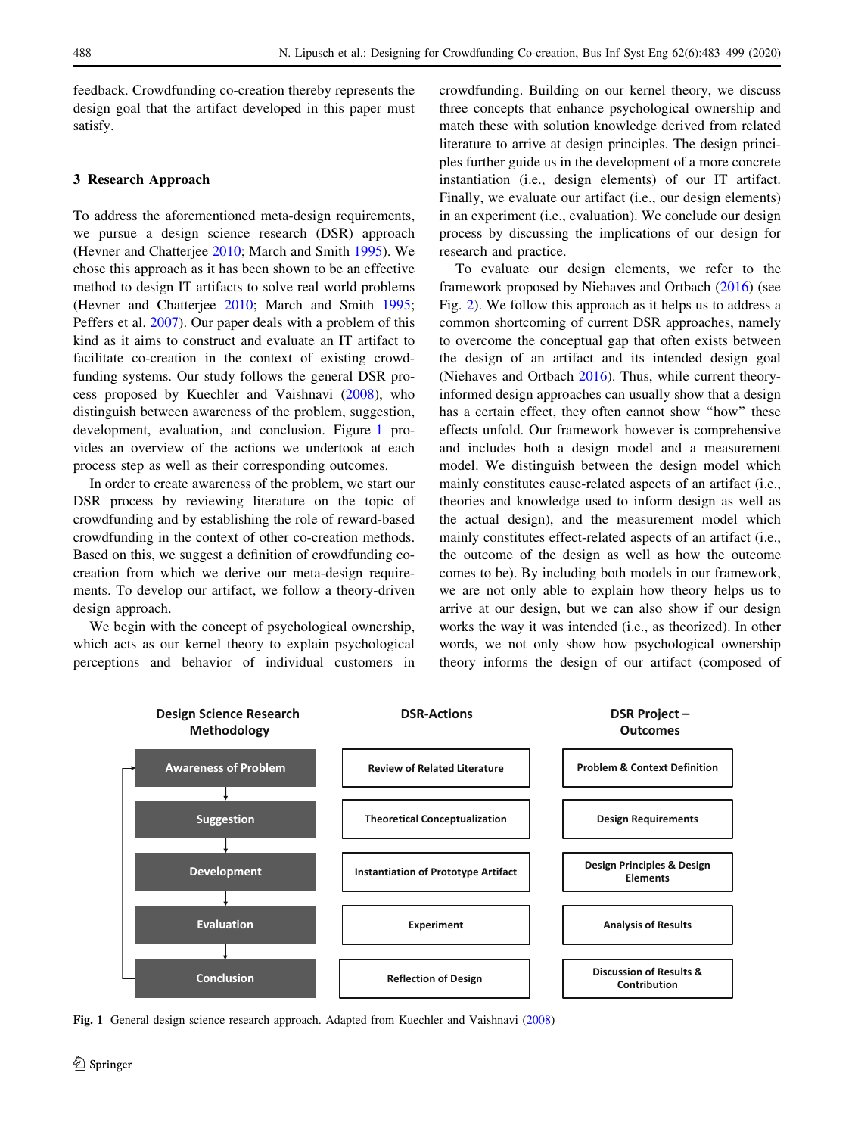feedback. Crowdfunding co-creation thereby represents the design goal that the artifact developed in this paper must satisfy.

## 3 Research Approach

To address the aforementioned meta-design requirements, we pursue a design science research (DSR) approach (Hevner and Chatterjee [2010;](#page-14-0) March and Smith [1995\)](#page-15-0). We chose this approach as it has been shown to be an effective method to design IT artifacts to solve real world problems (Hevner and Chatterjee [2010](#page-14-0); March and Smith [1995](#page-15-0); Peffers et al. [2007\)](#page-15-0). Our paper deals with a problem of this kind as it aims to construct and evaluate an IT artifact to facilitate co-creation in the context of existing crowdfunding systems. Our study follows the general DSR process proposed by Kuechler and Vaishnavi ([2008\)](#page-15-0), who distinguish between awareness of the problem, suggestion, development, evaluation, and conclusion. Figure 1 provides an overview of the actions we undertook at each process step as well as their corresponding outcomes.

In order to create awareness of the problem, we start our DSR process by reviewing literature on the topic of crowdfunding and by establishing the role of reward-based crowdfunding in the context of other co-creation methods. Based on this, we suggest a definition of crowdfunding cocreation from which we derive our meta-design requirements. To develop our artifact, we follow a theory-driven design approach.

We begin with the concept of psychological ownership, which acts as our kernel theory to explain psychological perceptions and behavior of individual customers in crowdfunding. Building on our kernel theory, we discuss three concepts that enhance psychological ownership and match these with solution knowledge derived from related literature to arrive at design principles. The design principles further guide us in the development of a more concrete instantiation (i.e., design elements) of our IT artifact. Finally, we evaluate our artifact (i.e., our design elements) in an experiment (i.e., evaluation). We conclude our design process by discussing the implications of our design for research and practice.

To evaluate our design elements, we refer to the framework proposed by Niehaves and Ortbach ([2016\)](#page-15-0) (see Fig. [2](#page-6-0)). We follow this approach as it helps us to address a common shortcoming of current DSR approaches, namely to overcome the conceptual gap that often exists between the design of an artifact and its intended design goal (Niehaves and Ortbach [2016](#page-15-0)). Thus, while current theoryinformed design approaches can usually show that a design has a certain effect, they often cannot show ''how'' these effects unfold. Our framework however is comprehensive and includes both a design model and a measurement model. We distinguish between the design model which mainly constitutes cause-related aspects of an artifact (i.e., theories and knowledge used to inform design as well as the actual design), and the measurement model which mainly constitutes effect-related aspects of an artifact (i.e., the outcome of the design as well as how the outcome comes to be). By including both models in our framework, we are not only able to explain how theory helps us to arrive at our design, but we can also show if our design works the way it was intended (i.e., as theorized). In other words, we not only show how psychological ownership theory informs the design of our artifact (composed of



Fig. 1 General design science research approach. Adapted from Kuechler and Vaishnavi ([2008\)](#page-15-0)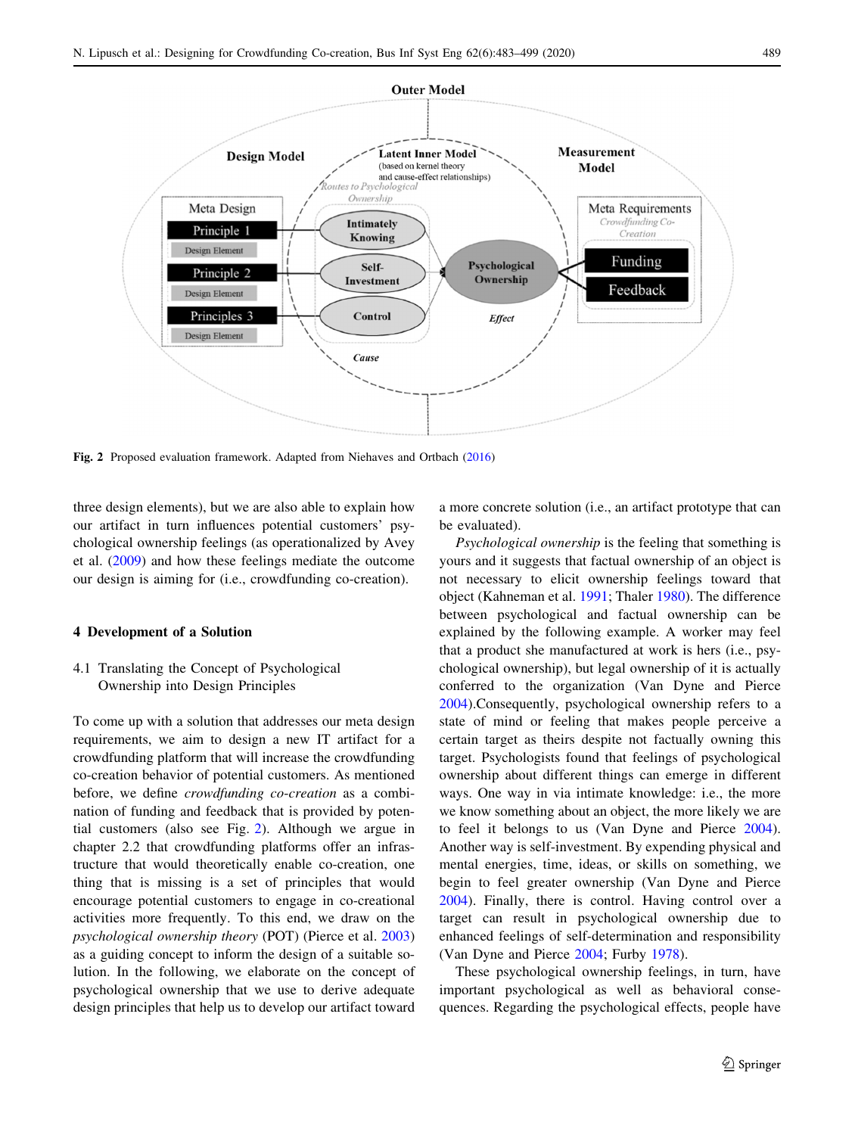<span id="page-6-0"></span>

Fig. 2 Proposed evaluation framework. Adapted from Niehaves and Ortbach [\(2016](#page-15-0))

three design elements), but we are also able to explain how our artifact in turn influences potential customers' psychological ownership feelings (as operationalized by Avey et al. ([2009](#page-13-0)) and how these feelings mediate the outcome our design is aiming for (i.e., crowdfunding co-creation).

#### 4 Development of a Solution

4.1 Translating the Concept of Psychological Ownership into Design Principles

To come up with a solution that addresses our meta design requirements, we aim to design a new IT artifact for a crowdfunding platform that will increase the crowdfunding co-creation behavior of potential customers. As mentioned before, we define crowdfunding co-creation as a combination of funding and feedback that is provided by potential customers (also see Fig. 2). Although we argue in chapter 2.2 that crowdfunding platforms offer an infrastructure that would theoretically enable co-creation, one thing that is missing is a set of principles that would encourage potential customers to engage in co-creational activities more frequently. To this end, we draw on the psychological ownership theory (POT) (Pierce et al. [2003\)](#page-15-0) as a guiding concept to inform the design of a suitable solution. In the following, we elaborate on the concept of psychological ownership that we use to derive adequate design principles that help us to develop our artifact toward a more concrete solution (i.e., an artifact prototype that can be evaluated).

Psychological ownership is the feeling that something is yours and it suggests that factual ownership of an object is not necessary to elicit ownership feelings toward that object (Kahneman et al. [1991;](#page-15-0) Thaler [1980](#page-16-0)). The difference between psychological and factual ownership can be explained by the following example. A worker may feel that a product she manufactured at work is hers (i.e., psychological ownership), but legal ownership of it is actually conferred to the organization (Van Dyne and Pierce [2004](#page-16-0)).Consequently, psychological ownership refers to a state of mind or feeling that makes people perceive a certain target as theirs despite not factually owning this target. Psychologists found that feelings of psychological ownership about different things can emerge in different ways. One way in via intimate knowledge: i.e., the more we know something about an object, the more likely we are to feel it belongs to us (Van Dyne and Pierce [2004](#page-16-0)). Another way is self-investment. By expending physical and mental energies, time, ideas, or skills on something, we begin to feel greater ownership (Van Dyne and Pierce [2004](#page-16-0)). Finally, there is control. Having control over a target can result in psychological ownership due to enhanced feelings of self-determination and responsibility (Van Dyne and Pierce [2004](#page-16-0); Furby [1978\)](#page-14-0).

These psychological ownership feelings, in turn, have important psychological as well as behavioral consequences. Regarding the psychological effects, people have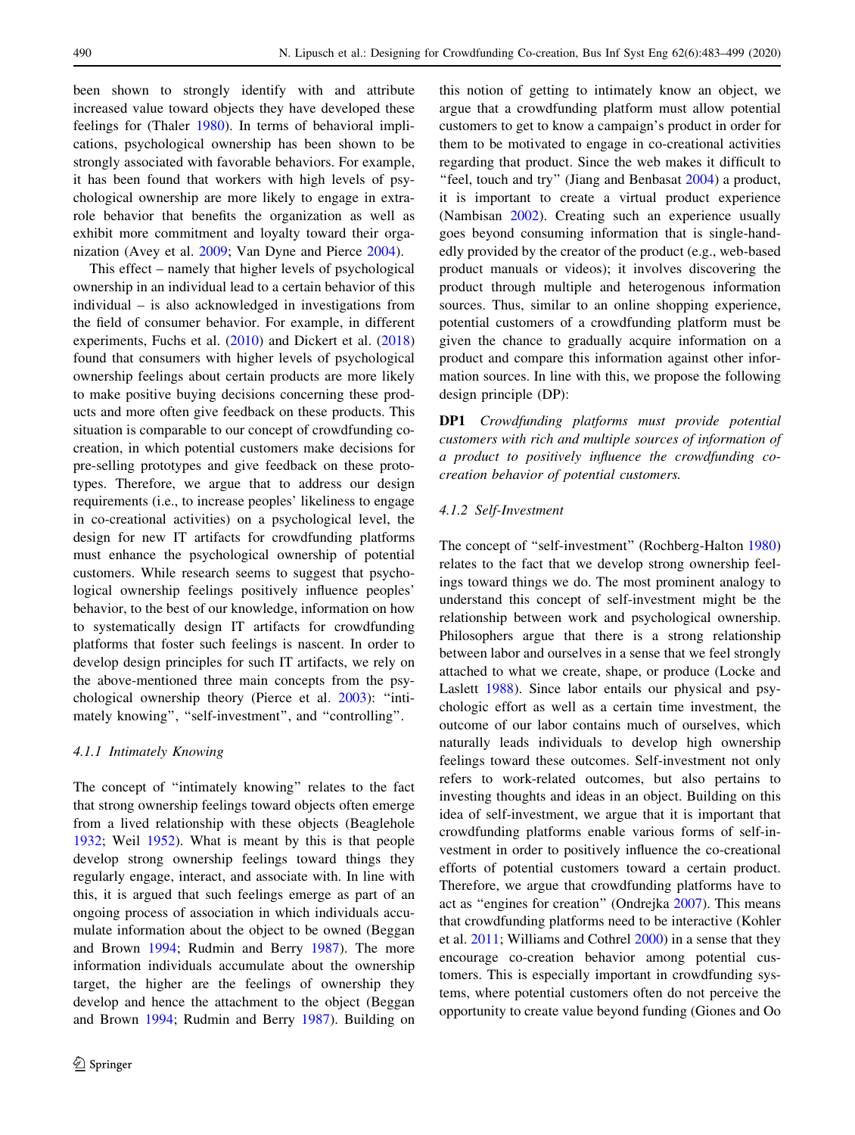been shown to strongly identify with and attribute increased value toward objects they have developed these feelings for (Thaler [1980\)](#page-16-0). In terms of behavioral implications, psychological ownership has been shown to be strongly associated with favorable behaviors. For example, it has been found that workers with high levels of psychological ownership are more likely to engage in extrarole behavior that benefits the organization as well as exhibit more commitment and loyalty toward their organization (Avey et al. [2009;](#page-13-0) Van Dyne and Pierce [2004\)](#page-16-0).

This effect – namely that higher levels of psychological ownership in an individual lead to a certain behavior of this individual – is also acknowledged in investigations from the field of consumer behavior. For example, in different experiments, Fuchs et al. [\(2010](#page-14-0)) and Dickert et al. ([2018\)](#page-14-0) found that consumers with higher levels of psychological ownership feelings about certain products are more likely to make positive buying decisions concerning these products and more often give feedback on these products. This situation is comparable to our concept of crowdfunding cocreation, in which potential customers make decisions for pre-selling prototypes and give feedback on these prototypes. Therefore, we argue that to address our design requirements (i.e., to increase peoples' likeliness to engage in co-creational activities) on a psychological level, the design for new IT artifacts for crowdfunding platforms must enhance the psychological ownership of potential customers. While research seems to suggest that psychological ownership feelings positively influence peoples' behavior, to the best of our knowledge, information on how to systematically design IT artifacts for crowdfunding platforms that foster such feelings is nascent. In order to develop design principles for such IT artifacts, we rely on the above-mentioned three main concepts from the psychological ownership theory (Pierce et al. [2003\)](#page-15-0): ''intimately knowing", "self-investment", and "controlling".

#### 4.1.1 Intimately Knowing

The concept of ''intimately knowing'' relates to the fact that strong ownership feelings toward objects often emerge from a lived relationship with these objects (Beaglehole [1932;](#page-13-0) Weil [1952](#page-16-0)). What is meant by this is that people develop strong ownership feelings toward things they regularly engage, interact, and associate with. In line with this, it is argued that such feelings emerge as part of an ongoing process of association in which individuals accumulate information about the object to be owned (Beggan and Brown [1994](#page-14-0); Rudmin and Berry [1987\)](#page-15-0). The more information individuals accumulate about the ownership target, the higher are the feelings of ownership they develop and hence the attachment to the object (Beggan and Brown [1994;](#page-14-0) Rudmin and Berry [1987\)](#page-15-0). Building on

this notion of getting to intimately know an object, we argue that a crowdfunding platform must allow potential customers to get to know a campaign's product in order for them to be motivated to engage in co-creational activities regarding that product. Since the web makes it difficult to ''feel, touch and try'' (Jiang and Benbasat [2004\)](#page-15-0) a product, it is important to create a virtual product experience (Nambisan [2002\)](#page-15-0). Creating such an experience usually goes beyond consuming information that is single-handedly provided by the creator of the product (e.g., web-based product manuals or videos); it involves discovering the product through multiple and heterogenous information sources. Thus, similar to an online shopping experience, potential customers of a crowdfunding platform must be given the chance to gradually acquire information on a product and compare this information against other information sources. In line with this, we propose the following design principle (DP):

DP1 Crowdfunding platforms must provide potential customers with rich and multiple sources of information of a product to positively influence the crowdfunding cocreation behavior of potential customers.

## 4.1.2 Self-Investment

The concept of "self-investment" (Rochberg-Halton [1980\)](#page-15-0) relates to the fact that we develop strong ownership feelings toward things we do. The most prominent analogy to understand this concept of self-investment might be the relationship between work and psychological ownership. Philosophers argue that there is a strong relationship between labor and ourselves in a sense that we feel strongly attached to what we create, shape, or produce (Locke and Laslett [1988](#page-15-0)). Since labor entails our physical and psychologic effort as well as a certain time investment, the outcome of our labor contains much of ourselves, which naturally leads individuals to develop high ownership feelings toward these outcomes. Self-investment not only refers to work-related outcomes, but also pertains to investing thoughts and ideas in an object. Building on this idea of self-investment, we argue that it is important that crowdfunding platforms enable various forms of self-investment in order to positively influence the co-creational efforts of potential customers toward a certain product. Therefore, we argue that crowdfunding platforms have to act as ''engines for creation'' (Ondrejka [2007](#page-15-0)). This means that crowdfunding platforms need to be interactive (Kohler et al. [2011](#page-15-0); Williams and Cothrel [2000](#page-16-0)) in a sense that they encourage co-creation behavior among potential customers. This is especially important in crowdfunding systems, where potential customers often do not perceive the opportunity to create value beyond funding (Giones and Oo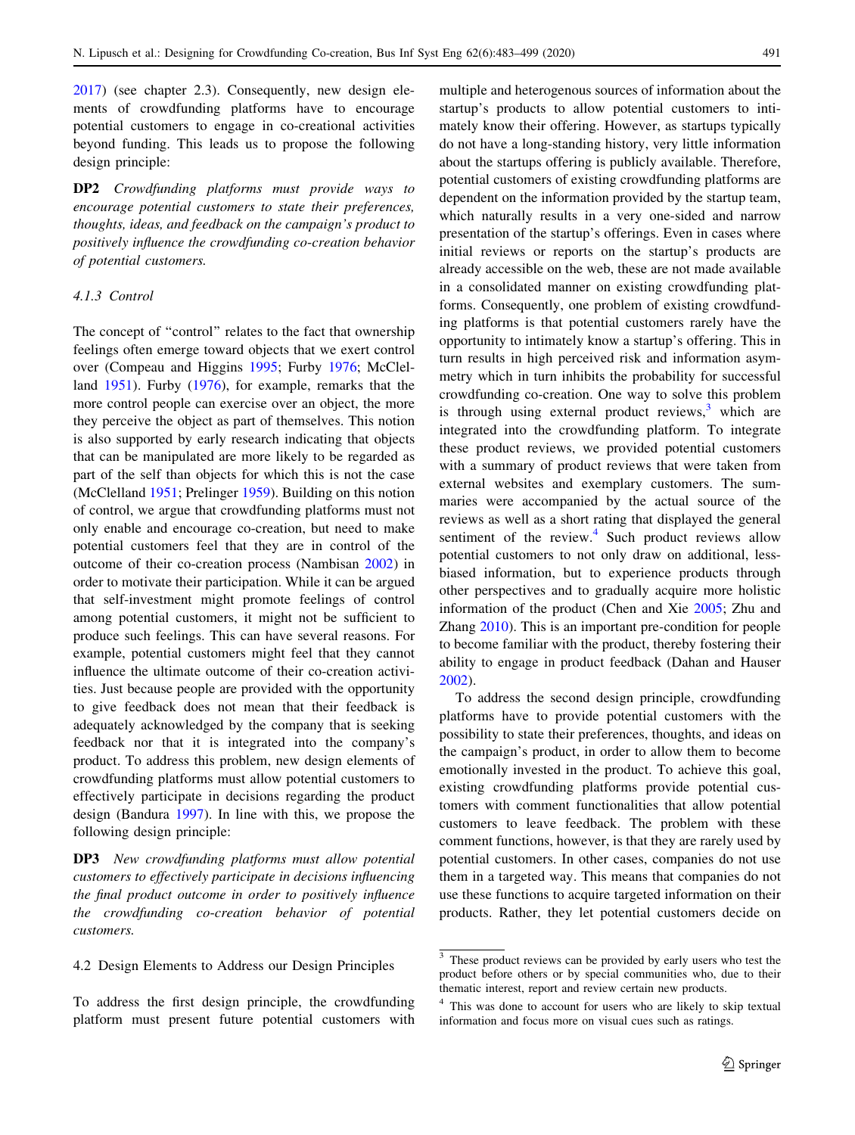[2017\)](#page-14-0) (see chapter 2.3). Consequently, new design elements of crowdfunding platforms have to encourage potential customers to engage in co-creational activities beyond funding. This leads us to propose the following design principle:

DP2 Crowdfunding platforms must provide ways to encourage potential customers to state their preferences, thoughts, ideas, and feedback on the campaign's product to positively influence the crowdfunding co-creation behavior of potential customers.

#### 4.1.3 Control

The concept of ''control'' relates to the fact that ownership feelings often emerge toward objects that we exert control over (Compeau and Higgins [1995;](#page-14-0) Furby [1976;](#page-14-0) McClelland [1951\)](#page-15-0). Furby [\(1976](#page-14-0)), for example, remarks that the more control people can exercise over an object, the more they perceive the object as part of themselves. This notion is also supported by early research indicating that objects that can be manipulated are more likely to be regarded as part of the self than objects for which this is not the case (McClelland [1951](#page-15-0); Prelinger [1959](#page-15-0)). Building on this notion of control, we argue that crowdfunding platforms must not only enable and encourage co-creation, but need to make potential customers feel that they are in control of the outcome of their co-creation process (Nambisan [2002](#page-15-0)) in order to motivate their participation. While it can be argued that self-investment might promote feelings of control among potential customers, it might not be sufficient to produce such feelings. This can have several reasons. For example, potential customers might feel that they cannot influence the ultimate outcome of their co-creation activities. Just because people are provided with the opportunity to give feedback does not mean that their feedback is adequately acknowledged by the company that is seeking feedback nor that it is integrated into the company's product. To address this problem, new design elements of crowdfunding platforms must allow potential customers to effectively participate in decisions regarding the product design (Bandura [1997](#page-13-0)). In line with this, we propose the following design principle:

DP3 New crowdfunding platforms must allow potential customers to effectively participate in decisions influencing the final product outcome in order to positively influence the crowdfunding co-creation behavior of potential customers.

## 4.2 Design Elements to Address our Design Principles

To address the first design principle, the crowdfunding platform must present future potential customers with multiple and heterogenous sources of information about the startup's products to allow potential customers to intimately know their offering. However, as startups typically do not have a long-standing history, very little information about the startups offering is publicly available. Therefore, potential customers of existing crowdfunding platforms are dependent on the information provided by the startup team, which naturally results in a very one-sided and narrow presentation of the startup's offerings. Even in cases where initial reviews or reports on the startup's products are already accessible on the web, these are not made available in a consolidated manner on existing crowdfunding platforms. Consequently, one problem of existing crowdfunding platforms is that potential customers rarely have the opportunity to intimately know a startup's offering. This in turn results in high perceived risk and information asymmetry which in turn inhibits the probability for successful crowdfunding co-creation. One way to solve this problem is through using external product reviews, $\frac{3}{2}$  which are integrated into the crowdfunding platform. To integrate these product reviews, we provided potential customers with a summary of product reviews that were taken from external websites and exemplary customers. The summaries were accompanied by the actual source of the reviews as well as a short rating that displayed the general sentiment of the review.<sup>4</sup> Such product reviews allow potential customers to not only draw on additional, lessbiased information, but to experience products through other perspectives and to gradually acquire more holistic information of the product (Chen and Xie [2005;](#page-14-0) Zhu and Zhang [2010](#page-16-0)). This is an important pre-condition for people to become familiar with the product, thereby fostering their ability to engage in product feedback (Dahan and Hauser [2002](#page-14-0)).

To address the second design principle, crowdfunding platforms have to provide potential customers with the possibility to state their preferences, thoughts, and ideas on the campaign's product, in order to allow them to become emotionally invested in the product. To achieve this goal, existing crowdfunding platforms provide potential customers with comment functionalities that allow potential customers to leave feedback. The problem with these comment functions, however, is that they are rarely used by potential customers. In other cases, companies do not use them in a targeted way. This means that companies do not use these functions to acquire targeted information on their products. Rather, they let potential customers decide on

<sup>&</sup>lt;sup>3</sup> These product reviews can be provided by early users who test the product before others or by special communities who, due to their thematic interest, report and review certain new products.

<sup>&</sup>lt;sup>4</sup> This was done to account for users who are likely to skip textual information and focus more on visual cues such as ratings.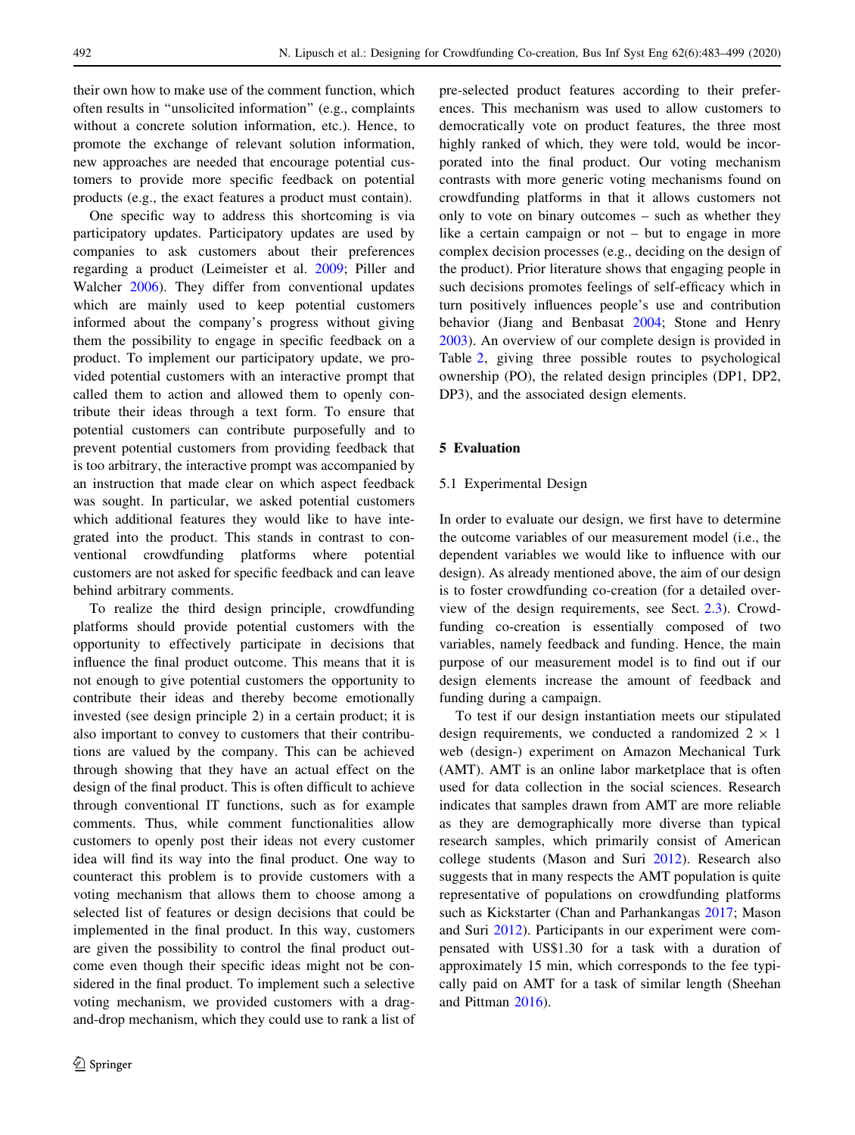their own how to make use of the comment function, which often results in ''unsolicited information'' (e.g., complaints without a concrete solution information, etc.). Hence, to promote the exchange of relevant solution information, new approaches are needed that encourage potential customers to provide more specific feedback on potential products (e.g., the exact features a product must contain).

One specific way to address this shortcoming is via participatory updates. Participatory updates are used by companies to ask customers about their preferences regarding a product (Leimeister et al. [2009;](#page-15-0) Piller and Walcher [2006\)](#page-15-0). They differ from conventional updates which are mainly used to keep potential customers informed about the company's progress without giving them the possibility to engage in specific feedback on a product. To implement our participatory update, we provided potential customers with an interactive prompt that called them to action and allowed them to openly contribute their ideas through a text form. To ensure that potential customers can contribute purposefully and to prevent potential customers from providing feedback that is too arbitrary, the interactive prompt was accompanied by an instruction that made clear on which aspect feedback was sought. In particular, we asked potential customers which additional features they would like to have integrated into the product. This stands in contrast to conventional crowdfunding platforms where potential customers are not asked for specific feedback and can leave behind arbitrary comments.

To realize the third design principle, crowdfunding platforms should provide potential customers with the opportunity to effectively participate in decisions that influence the final product outcome. This means that it is not enough to give potential customers the opportunity to contribute their ideas and thereby become emotionally invested (see design principle 2) in a certain product; it is also important to convey to customers that their contributions are valued by the company. This can be achieved through showing that they have an actual effect on the design of the final product. This is often difficult to achieve through conventional IT functions, such as for example comments. Thus, while comment functionalities allow customers to openly post their ideas not every customer idea will find its way into the final product. One way to counteract this problem is to provide customers with a voting mechanism that allows them to choose among a selected list of features or design decisions that could be implemented in the final product. In this way, customers are given the possibility to control the final product outcome even though their specific ideas might not be considered in the final product. To implement such a selective voting mechanism, we provided customers with a dragand-drop mechanism, which they could use to rank a list of pre-selected product features according to their preferences. This mechanism was used to allow customers to democratically vote on product features, the three most highly ranked of which, they were told, would be incorporated into the final product. Our voting mechanism contrasts with more generic voting mechanisms found on crowdfunding platforms in that it allows customers not only to vote on binary outcomes – such as whether they like a certain campaign or not – but to engage in more complex decision processes (e.g., deciding on the design of the product). Prior literature shows that engaging people in such decisions promotes feelings of self-efficacy which in turn positively influences people's use and contribution behavior (Jiang and Benbasat [2004](#page-15-0); Stone and Henry [2003](#page-15-0)). An overview of our complete design is provided in Table [2](#page-10-0), giving three possible routes to psychological ownership (PO), the related design principles (DP1, DP2, DP3), and the associated design elements.

### 5 Evaluation

### 5.1 Experimental Design

In order to evaluate our design, we first have to determine the outcome variables of our measurement model (i.e., the dependent variables we would like to influence with our design). As already mentioned above, the aim of our design is to foster crowdfunding co-creation (for a detailed overview of the design requirements, see Sect. [2.3](#page-4-0)). Crowdfunding co-creation is essentially composed of two variables, namely feedback and funding. Hence, the main purpose of our measurement model is to find out if our design elements increase the amount of feedback and funding during a campaign.

To test if our design instantiation meets our stipulated design requirements, we conducted a randomized  $2 \times 1$ web (design-) experiment on Amazon Mechanical Turk (AMT). AMT is an online labor marketplace that is often used for data collection in the social sciences. Research indicates that samples drawn from AMT are more reliable as they are demographically more diverse than typical research samples, which primarily consist of American college students (Mason and Suri [2012](#page-15-0)). Research also suggests that in many respects the AMT population is quite representative of populations on crowdfunding platforms such as Kickstarter (Chan and Parhankangas [2017](#page-14-0); Mason and Suri [2012](#page-15-0)). Participants in our experiment were compensated with US\$1.30 for a task with a duration of approximately 15 min, which corresponds to the fee typically paid on AMT for a task of similar length (Sheehan and Pittman [2016](#page-15-0)).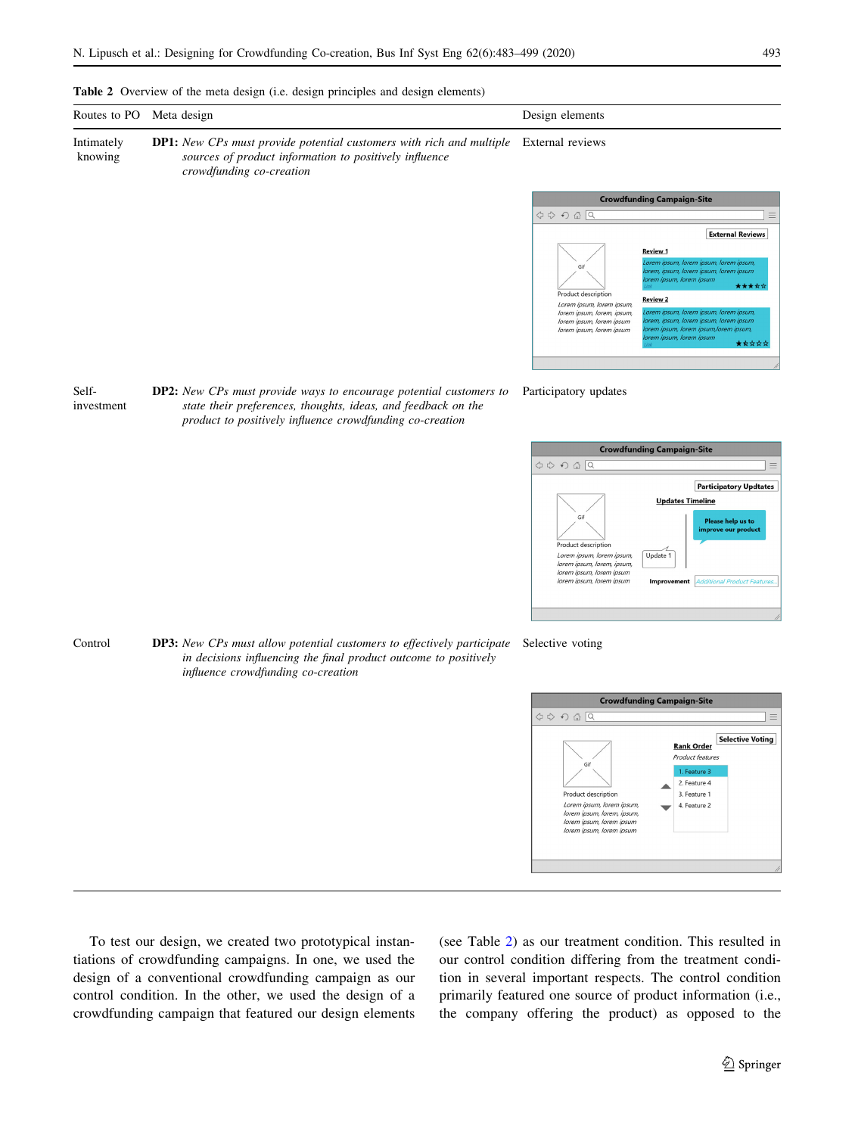<span id="page-10-0"></span>Table 2 Overview of the meta design (i.e. design principles and design elements)

| Routes to PO Meta design |                                                                                                                                                                                    | Design elements |
|--------------------------|------------------------------------------------------------------------------------------------------------------------------------------------------------------------------------|-----------------|
| Intimately<br>knowing    | <b>DP1:</b> New CPs must provide potential customers with rich and multiple External reviews<br>sources of product information to positively influence<br>crowdfunding co-creation |                 |



Participatory updates

**Crowdfunding Campaign-Site**  $\circ \circ \circ \circ \circ \circ$ **Participatory Updtates Updates Timeline** Please help us to Product description .<br>Lorem ipsum, lorem ipsum<br>lorem ipsum, lorem, ipsum Update lorem ipsum, lorem ipsun lorem ipsum. lorem ipsun Impro

Selfinvestment

DP2: New CPs must provide ways to encourage potential customers to state their preferences, thoughts, ideas, and feedback on the product to positively influence crowdfunding co-creation





To test our design, we created two prototypical instantiations of crowdfunding campaigns. In one, we used the design of a conventional crowdfunding campaign as our control condition. In the other, we used the design of a crowdfunding campaign that featured our design elements (see Table 2) as our treatment condition. This resulted in our control condition differing from the treatment condition in several important respects. The control condition primarily featured one source of product information (i.e., the company offering the product) as opposed to the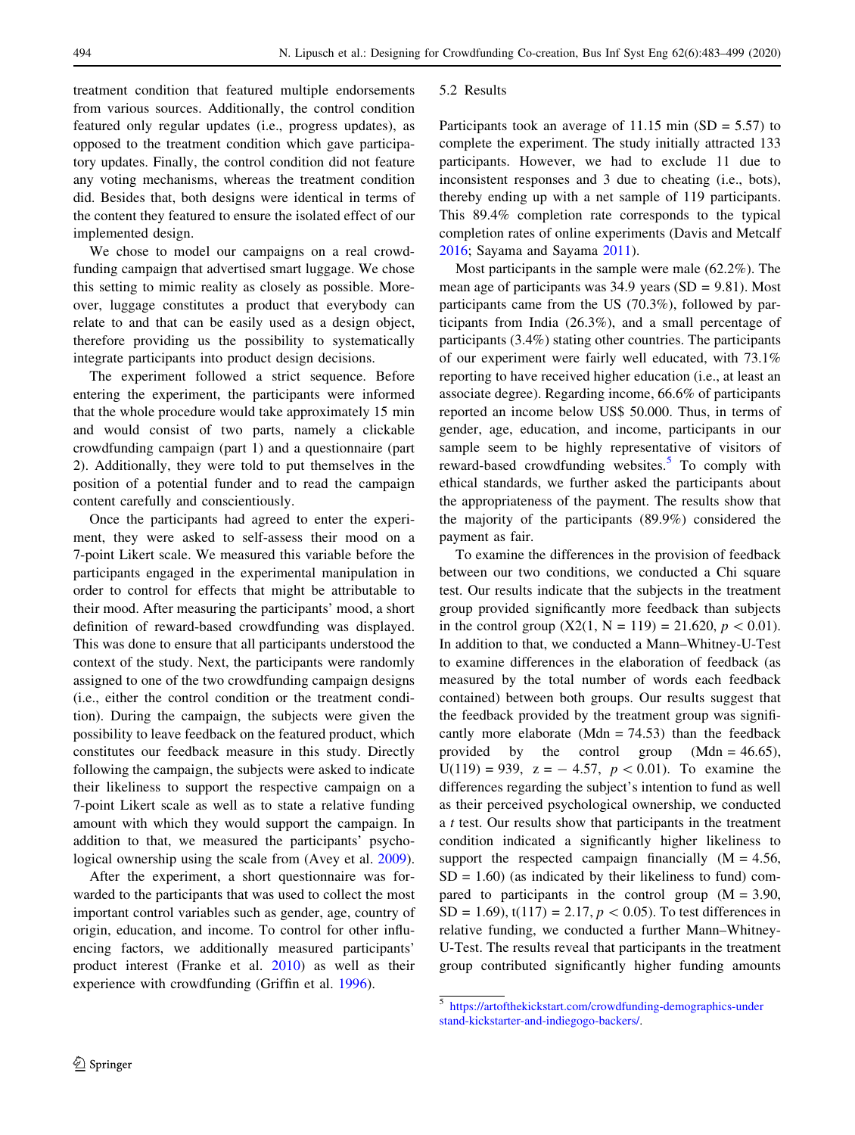treatment condition that featured multiple endorsements from various sources. Additionally, the control condition featured only regular updates (i.e., progress updates), as opposed to the treatment condition which gave participatory updates. Finally, the control condition did not feature any voting mechanisms, whereas the treatment condition did. Besides that, both designs were identical in terms of the content they featured to ensure the isolated effect of our implemented design.

We chose to model our campaigns on a real crowdfunding campaign that advertised smart luggage. We chose this setting to mimic reality as closely as possible. Moreover, luggage constitutes a product that everybody can relate to and that can be easily used as a design object, therefore providing us the possibility to systematically integrate participants into product design decisions.

The experiment followed a strict sequence. Before entering the experiment, the participants were informed that the whole procedure would take approximately 15 min and would consist of two parts, namely a clickable crowdfunding campaign (part 1) and a questionnaire (part 2). Additionally, they were told to put themselves in the position of a potential funder and to read the campaign content carefully and conscientiously.

Once the participants had agreed to enter the experiment, they were asked to self-assess their mood on a 7-point Likert scale. We measured this variable before the participants engaged in the experimental manipulation in order to control for effects that might be attributable to their mood. After measuring the participants' mood, a short definition of reward-based crowdfunding was displayed. This was done to ensure that all participants understood the context of the study. Next, the participants were randomly assigned to one of the two crowdfunding campaign designs (i.e., either the control condition or the treatment condition). During the campaign, the subjects were given the possibility to leave feedback on the featured product, which constitutes our feedback measure in this study. Directly following the campaign, the subjects were asked to indicate their likeliness to support the respective campaign on a 7-point Likert scale as well as to state a relative funding amount with which they would support the campaign. In addition to that, we measured the participants' psychological ownership using the scale from (Avey et al. [2009](#page-13-0)).

After the experiment, a short questionnaire was forwarded to the participants that was used to collect the most important control variables such as gender, age, country of origin, education, and income. To control for other influencing factors, we additionally measured participants' product interest (Franke et al. [2010](#page-14-0)) as well as their experience with crowdfunding (Griffin et al. [1996\)](#page-14-0).

Participants took an average of 11.15 min  $(SD = 5.57)$  to complete the experiment. The study initially attracted 133 participants. However, we had to exclude 11 due to inconsistent responses and 3 due to cheating (i.e., bots), thereby ending up with a net sample of 119 participants. This 89.4% completion rate corresponds to the typical completion rates of online experiments (Davis and Metcalf [2016](#page-14-0); Sayama and Sayama [2011](#page-15-0)).

Most participants in the sample were male (62.2%). The mean age of participants was  $34.9$  years (SD = 9.81). Most participants came from the US (70.3%), followed by participants from India (26.3%), and a small percentage of participants (3.4%) stating other countries. The participants of our experiment were fairly well educated, with 73.1% reporting to have received higher education (i.e., at least an associate degree). Regarding income, 66.6% of participants reported an income below US\$ 50.000. Thus, in terms of gender, age, education, and income, participants in our sample seem to be highly representative of visitors of reward-based crowdfunding websites. $5$  To comply with ethical standards, we further asked the participants about the appropriateness of the payment. The results show that the majority of the participants (89.9%) considered the payment as fair.

To examine the differences in the provision of feedback between our two conditions, we conducted a Chi square test. Our results indicate that the subjects in the treatment group provided significantly more feedback than subjects in the control group  $(X2(1, N = 119) = 21.620, p < 0.01)$ . In addition to that, we conducted a Mann–Whitney-U-Test to examine differences in the elaboration of feedback (as measured by the total number of words each feedback contained) between both groups. Our results suggest that the feedback provided by the treatment group was significantly more elaborate (Mdn =  $74.53$ ) than the feedback provided by the control group  $(Mdn = 46.65)$ , U(119) = 939,  $z = -4.57$ ,  $p < 0.01$ ). To examine the differences regarding the subject's intention to fund as well as their perceived psychological ownership, we conducted a t test. Our results show that participants in the treatment condition indicated a significantly higher likeliness to support the respected campaign financially  $(M = 4.56)$ ,  $SD = 1.60$ ) (as indicated by their likeliness to fund) compared to participants in the control group  $(M = 3.90,$  $SD = 1.69$ ,  $t(117) = 2.17$ ,  $p < 0.05$ ). To test differences in relative funding, we conducted a further Mann–Whitney-U-Test. The results reveal that participants in the treatment group contributed significantly higher funding amounts

<sup>5</sup> [https://artofthekickstart.com/crowdfunding-demographics-under](https://artofthekickstart.com/crowdfunding-demographics-understand-kickstarter-and-indiegogo-backers/) [stand-kickstarter-and-indiegogo-backers/.](https://artofthekickstart.com/crowdfunding-demographics-understand-kickstarter-and-indiegogo-backers/)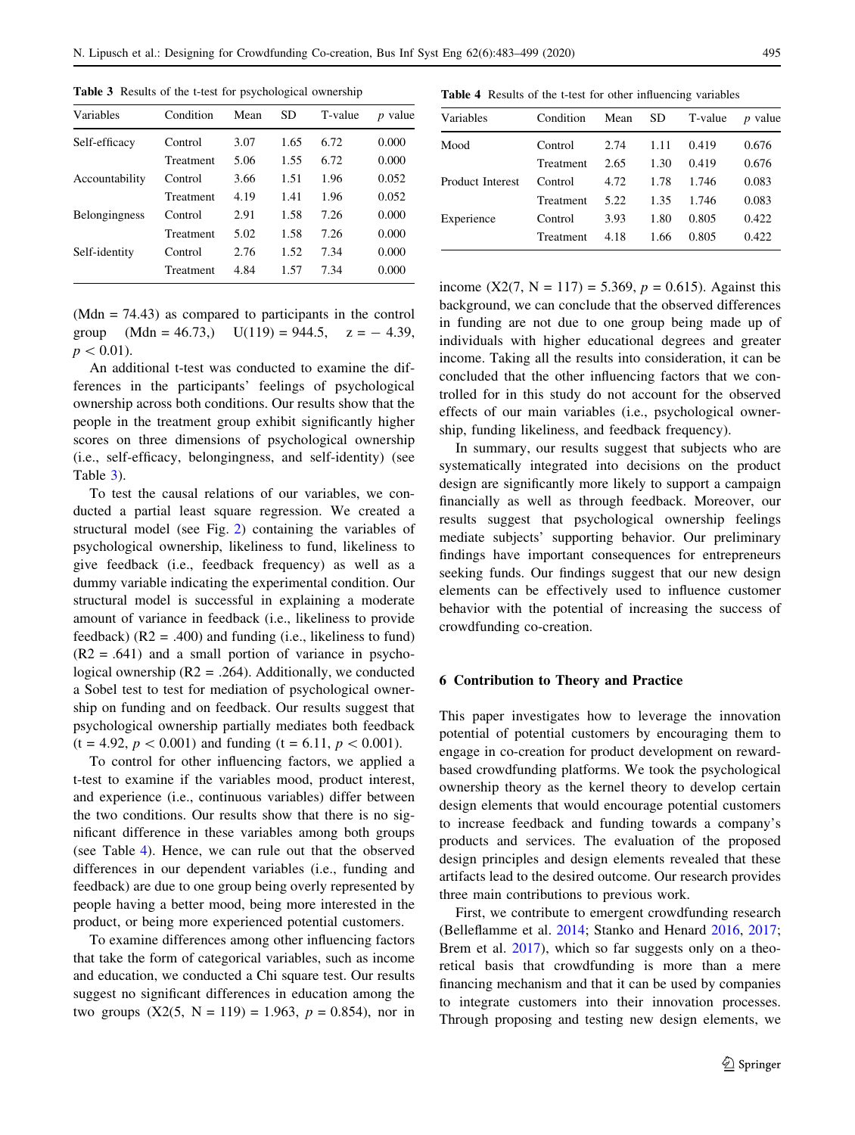|  |  |  |  |  |  |  |  | Table 3 Results of the t-test for psychological ownership |
|--|--|--|--|--|--|--|--|-----------------------------------------------------------|
|--|--|--|--|--|--|--|--|-----------------------------------------------------------|

| Variables            | Condition | Mean | SD   | T-value | <i>p</i> value |
|----------------------|-----------|------|------|---------|----------------|
| Self-efficacy        | Control   | 3.07 | 1.65 | 6.72    | 0.000          |
|                      | Treatment | 5.06 | 1.55 | 6.72    | 0.000          |
| Accountability       | Control   | 3.66 | 1.51 | 1.96    | 0.052          |
|                      | Treatment | 4.19 | 1.41 | 1.96    | 0.052          |
| <b>Belongingness</b> | Control   | 2.91 | 1.58 | 7.26    | 0.000          |
|                      | Treatment | 5.02 | 1.58 | 7.26    | 0.000          |
| Self-identity        | Control   | 2.76 | 1.52 | 7.34    | 0.000          |
|                      | Treatment | 4.84 | 1.57 | 7.34    | 0.000          |

(Mdn = 74.43) as compared to participants in the control group  $(Mdn = 46.73)$ ,  $U(119) = 944.5$ ,  $z = -4.39$ .  $p < 0.01$ ).

An additional t-test was conducted to examine the differences in the participants' feelings of psychological ownership across both conditions. Our results show that the people in the treatment group exhibit significantly higher scores on three dimensions of psychological ownership (i.e., self-efficacy, belongingness, and self-identity) (see Table 3).

To test the causal relations of our variables, we conducted a partial least square regression. We created a structural model (see Fig. [2](#page-6-0)) containing the variables of psychological ownership, likeliness to fund, likeliness to give feedback (i.e., feedback frequency) as well as a dummy variable indicating the experimental condition. Our structural model is successful in explaining a moderate amount of variance in feedback (i.e., likeliness to provide feedback)  $(R2 = .400)$  and funding (i.e., likeliness to fund)  $(R2 = .641)$  and a small portion of variance in psychological ownership  $(R2 = .264)$ . Additionally, we conducted a Sobel test to test for mediation of psychological ownership on funding and on feedback. Our results suggest that psychological ownership partially mediates both feedback  $(t = 4.92, p < 0.001)$  and funding  $(t = 6.11, p < 0.001)$ .

To control for other influencing factors, we applied a t-test to examine if the variables mood, product interest, and experience (i.e., continuous variables) differ between the two conditions. Our results show that there is no significant difference in these variables among both groups (see Table 4). Hence, we can rule out that the observed differences in our dependent variables (i.e., funding and feedback) are due to one group being overly represented by people having a better mood, being more interested in the product, or being more experienced potential customers.

To examine differences among other influencing factors that take the form of categorical variables, such as income and education, we conducted a Chi square test. Our results suggest no significant differences in education among the two groups  $(X2(5, N = 119) = 1.963, p = 0.854)$ , nor in

Table 4 Results of the t-test for other influencing variables

| Variables               | Condition        | Mean | SD   | T-value | <i>p</i> value |
|-------------------------|------------------|------|------|---------|----------------|
| Mood                    | Control          | 2.74 | 1.11 | 0.419   | 0.676          |
|                         | <b>Treatment</b> | 2.65 | 1.30 | 0.419   | 0.676          |
| <b>Product Interest</b> | Control          | 4.72 | 1.78 | 1.746   | 0.083          |
|                         | <b>Treatment</b> | 5.22 | 1.35 | 1.746   | 0.083          |
| Experience              | Control          | 3.93 | 1.80 | 0.805   | 0.422          |
|                         | <b>Treatment</b> | 4.18 | 1.66 | 0.805   | 0.422          |

income  $(X2(7, N = 117) = 5.369, p = 0.615)$ . Against this background, we can conclude that the observed differences in funding are not due to one group being made up of individuals with higher educational degrees and greater income. Taking all the results into consideration, it can be concluded that the other influencing factors that we controlled for in this study do not account for the observed effects of our main variables (i.e., psychological ownership, funding likeliness, and feedback frequency).

In summary, our results suggest that subjects who are systematically integrated into decisions on the product design are significantly more likely to support a campaign financially as well as through feedback. Moreover, our results suggest that psychological ownership feelings mediate subjects' supporting behavior. Our preliminary findings have important consequences for entrepreneurs seeking funds. Our findings suggest that our new design elements can be effectively used to influence customer behavior with the potential of increasing the success of crowdfunding co-creation.

#### 6 Contribution to Theory and Practice

This paper investigates how to leverage the innovation potential of potential customers by encouraging them to engage in co-creation for product development on rewardbased crowdfunding platforms. We took the psychological ownership theory as the kernel theory to develop certain design elements that would encourage potential customers to increase feedback and funding towards a company's products and services. The evaluation of the proposed design principles and design elements revealed that these artifacts lead to the desired outcome. Our research provides three main contributions to previous work.

First, we contribute to emergent crowdfunding research (Belleflamme et al. [2014;](#page-14-0) Stanko and Henard [2016,](#page-15-0) [2017](#page-15-0); Brem et al. [2017\)](#page-14-0), which so far suggests only on a theoretical basis that crowdfunding is more than a mere financing mechanism and that it can be used by companies to integrate customers into their innovation processes. Through proposing and testing new design elements, we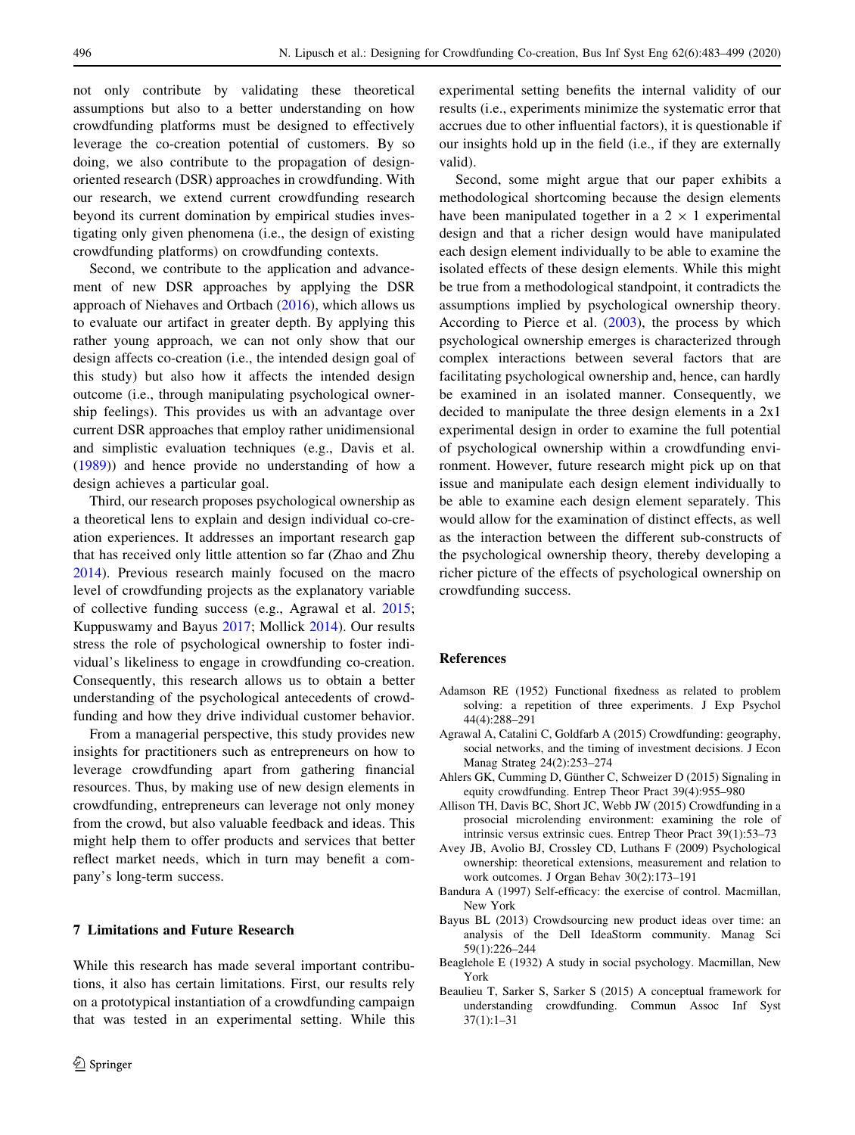<span id="page-13-0"></span>not only contribute by validating these theoretical assumptions but also to a better understanding on how crowdfunding platforms must be designed to effectively leverage the co-creation potential of customers. By so doing, we also contribute to the propagation of designoriented research (DSR) approaches in crowdfunding. With our research, we extend current crowdfunding research beyond its current domination by empirical studies investigating only given phenomena (i.e., the design of existing crowdfunding platforms) on crowdfunding contexts.

Second, we contribute to the application and advancement of new DSR approaches by applying the DSR approach of Niehaves and Ortbach [\(2016](#page-15-0)), which allows us to evaluate our artifact in greater depth. By applying this rather young approach, we can not only show that our design affects co-creation (i.e., the intended design goal of this study) but also how it affects the intended design outcome (i.e., through manipulating psychological ownership feelings). This provides us with an advantage over current DSR approaches that employ rather unidimensional and simplistic evaluation techniques (e.g., Davis et al. [\(1989](#page-14-0))) and hence provide no understanding of how a design achieves a particular goal.

Third, our research proposes psychological ownership as a theoretical lens to explain and design individual co-creation experiences. It addresses an important research gap that has received only little attention so far (Zhao and Zhu [2014\)](#page-16-0). Previous research mainly focused on the macro level of crowdfunding projects as the explanatory variable of collective funding success (e.g., Agrawal et al. 2015; Kuppuswamy and Bayus [2017](#page-15-0); Mollick [2014\)](#page-15-0). Our results stress the role of psychological ownership to foster individual's likeliness to engage in crowdfunding co-creation. Consequently, this research allows us to obtain a better understanding of the psychological antecedents of crowdfunding and how they drive individual customer behavior.

From a managerial perspective, this study provides new insights for practitioners such as entrepreneurs on how to leverage crowdfunding apart from gathering financial resources. Thus, by making use of new design elements in crowdfunding, entrepreneurs can leverage not only money from the crowd, but also valuable feedback and ideas. This might help them to offer products and services that better reflect market needs, which in turn may benefit a company's long-term success.

### 7 Limitations and Future Research

While this research has made several important contributions, it also has certain limitations. First, our results rely on a prototypical instantiation of a crowdfunding campaign that was tested in an experimental setting. While this experimental setting benefits the internal validity of our results (i.e., experiments minimize the systematic error that accrues due to other influential factors), it is questionable if our insights hold up in the field (i.e., if they are externally valid).

Second, some might argue that our paper exhibits a methodological shortcoming because the design elements have been manipulated together in a  $2 \times 1$  experimental design and that a richer design would have manipulated each design element individually to be able to examine the isolated effects of these design elements. While this might be true from a methodological standpoint, it contradicts the assumptions implied by psychological ownership theory. According to Pierce et al.  $(2003)$  $(2003)$ , the process by which psychological ownership emerges is characterized through complex interactions between several factors that are facilitating psychological ownership and, hence, can hardly be examined in an isolated manner. Consequently, we decided to manipulate the three design elements in a 2x1 experimental design in order to examine the full potential of psychological ownership within a crowdfunding environment. However, future research might pick up on that issue and manipulate each design element individually to be able to examine each design element separately. This would allow for the examination of distinct effects, as well as the interaction between the different sub-constructs of the psychological ownership theory, thereby developing a richer picture of the effects of psychological ownership on crowdfunding success.

#### References

- Adamson RE (1952) Functional fixedness as related to problem solving: a repetition of three experiments. J Exp Psychol 44(4):288–291
- Agrawal A, Catalini C, Goldfarb A (2015) Crowdfunding: geography, social networks, and the timing of investment decisions. J Econ Manag Strateg 24(2):253–274
- Ahlers GK, Cumming D, Günther C, Schweizer D (2015) Signaling in equity crowdfunding. Entrep Theor Pract 39(4):955–980
- Allison TH, Davis BC, Short JC, Webb JW (2015) Crowdfunding in a prosocial microlending environment: examining the role of intrinsic versus extrinsic cues. Entrep Theor Pract 39(1):53–73
- Avey JB, Avolio BJ, Crossley CD, Luthans F (2009) Psychological ownership: theoretical extensions, measurement and relation to work outcomes. J Organ Behav 30(2):173–191
- Bandura A (1997) Self-efficacy: the exercise of control. Macmillan, New York
- Bayus BL (2013) Crowdsourcing new product ideas over time: an analysis of the Dell IdeaStorm community. Manag Sci 59(1):226–244
- Beaglehole E (1932) A study in social psychology. Macmillan, New York
- Beaulieu T, Sarker S, Sarker S (2015) A conceptual framework for understanding crowdfunding. Commun Assoc Inf Syst 37(1):1–31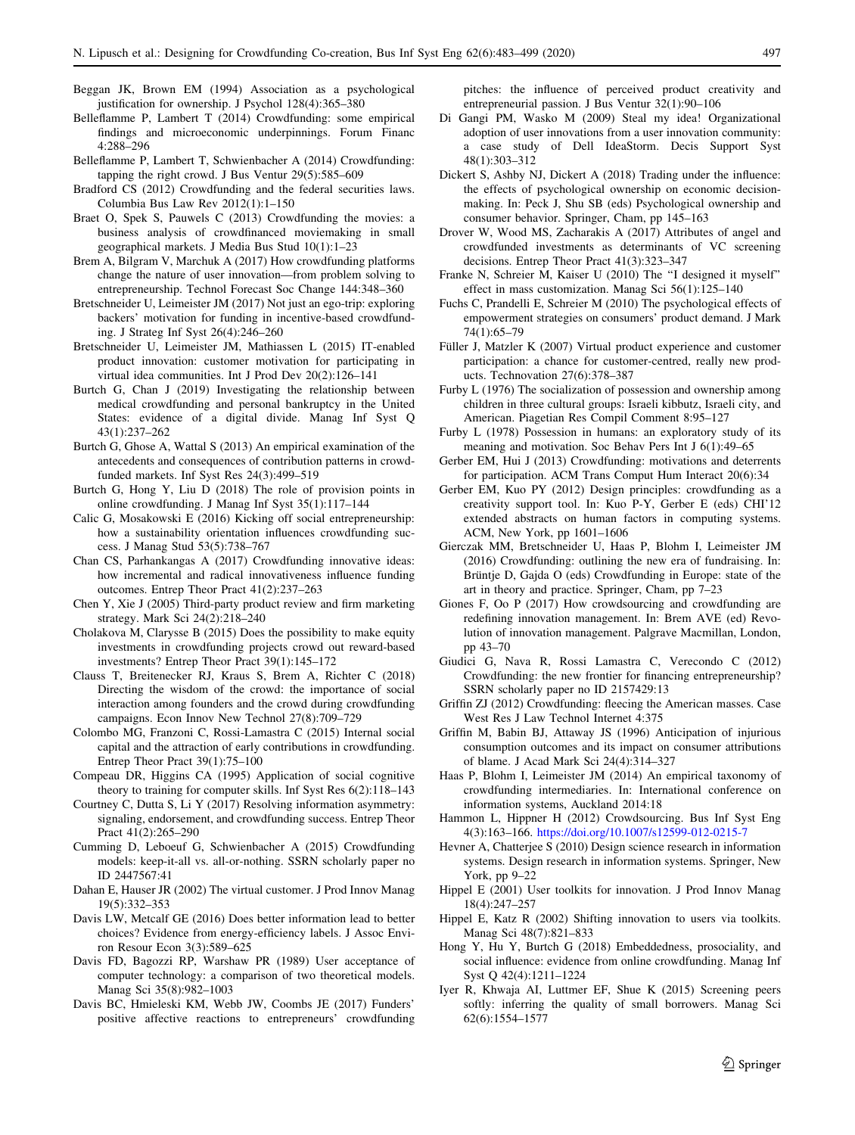<span id="page-14-0"></span>Beggan JK, Brown EM (1994) Association as a psychological justification for ownership. J Psychol 128(4):365–380

- Belleflamme P, Lambert T (2014) Crowdfunding: some empirical findings and microeconomic underpinnings. Forum Financ 4:288–296
- Belleflamme P, Lambert T, Schwienbacher A (2014) Crowdfunding: tapping the right crowd. J Bus Ventur 29(5):585–609
- Bradford CS (2012) Crowdfunding and the federal securities laws. Columbia Bus Law Rev 2012(1):1–150
- Braet O, Spek S, Pauwels C (2013) Crowdfunding the movies: a business analysis of crowdfinanced moviemaking in small geographical markets. J Media Bus Stud 10(1):1–23
- Brem A, Bilgram V, Marchuk A (2017) How crowdfunding platforms change the nature of user innovation—from problem solving to entrepreneurship. Technol Forecast Soc Change 144:348–360
- Bretschneider U, Leimeister JM (2017) Not just an ego-trip: exploring backers' motivation for funding in incentive-based crowdfunding. J Strateg Inf Syst 26(4):246–260
- Bretschneider U, Leimeister JM, Mathiassen L (2015) IT-enabled product innovation: customer motivation for participating in virtual idea communities. Int J Prod Dev 20(2):126–141
- Burtch G, Chan J (2019) Investigating the relationship between medical crowdfunding and personal bankruptcy in the United States: evidence of a digital divide. Manag Inf Syst Q 43(1):237–262
- Burtch G, Ghose A, Wattal S (2013) An empirical examination of the antecedents and consequences of contribution patterns in crowdfunded markets. Inf Syst Res 24(3):499–519
- Burtch G, Hong Y, Liu D (2018) The role of provision points in online crowdfunding. J Manag Inf Syst 35(1):117–144
- Calic G, Mosakowski E (2016) Kicking off social entrepreneurship: how a sustainability orientation influences crowdfunding success. J Manag Stud 53(5):738–767
- Chan CS, Parhankangas A (2017) Crowdfunding innovative ideas: how incremental and radical innovativeness influence funding outcomes. Entrep Theor Pract 41(2):237–263
- Chen Y, Xie J (2005) Third-party product review and firm marketing strategy. Mark Sci 24(2):218–240
- Cholakova M, Clarysse B (2015) Does the possibility to make equity investments in crowdfunding projects crowd out reward-based investments? Entrep Theor Pract 39(1):145–172
- Clauss T, Breitenecker RJ, Kraus S, Brem A, Richter C (2018) Directing the wisdom of the crowd: the importance of social interaction among founders and the crowd during crowdfunding campaigns. Econ Innov New Technol 27(8):709–729
- Colombo MG, Franzoni C, Rossi-Lamastra C (2015) Internal social capital and the attraction of early contributions in crowdfunding. Entrep Theor Pract 39(1):75–100
- Compeau DR, Higgins CA (1995) Application of social cognitive theory to training for computer skills. Inf Syst Res 6(2):118–143
- Courtney C, Dutta S, Li Y (2017) Resolving information asymmetry: signaling, endorsement, and crowdfunding success. Entrep Theor Pract 41(2):265–290
- Cumming D, Leboeuf G, Schwienbacher A (2015) Crowdfunding models: keep-it-all vs. all-or-nothing. SSRN scholarly paper no ID 2447567:41
- Dahan E, Hauser JR (2002) The virtual customer. J Prod Innov Manag 19(5):332–353
- Davis LW, Metcalf GE (2016) Does better information lead to better choices? Evidence from energy-efficiency labels. J Assoc Environ Resour Econ 3(3):589–625
- Davis FD, Bagozzi RP, Warshaw PR (1989) User acceptance of computer technology: a comparison of two theoretical models. Manag Sci 35(8):982–1003
- Davis BC, Hmieleski KM, Webb JW, Coombs JE (2017) Funders' positive affective reactions to entrepreneurs' crowdfunding

pitches: the influence of perceived product creativity and entrepreneurial passion. J Bus Ventur 32(1):90–106

- Di Gangi PM, Wasko M (2009) Steal my idea! Organizational adoption of user innovations from a user innovation community: a case study of Dell IdeaStorm. Decis Support Syst 48(1):303–312
- Dickert S, Ashby NJ, Dickert A (2018) Trading under the influence: the effects of psychological ownership on economic decisionmaking. In: Peck J, Shu SB (eds) Psychological ownership and consumer behavior. Springer, Cham, pp 145–163
- Drover W, Wood MS, Zacharakis A (2017) Attributes of angel and crowdfunded investments as determinants of VC screening decisions. Entrep Theor Pract 41(3):323–347
- Franke N, Schreier M, Kaiser U (2010) The ''I designed it myself'' effect in mass customization. Manag Sci 56(1):125–140
- Fuchs C, Prandelli E, Schreier M (2010) The psychological effects of empowerment strategies on consumers' product demand. J Mark 74(1):65–79
- Füller J, Matzler K (2007) Virtual product experience and customer participation: a chance for customer-centred, really new products. Technovation 27(6):378–387
- Furby L (1976) The socialization of possession and ownership among children in three cultural groups: Israeli kibbutz, Israeli city, and American. Piagetian Res Compil Comment 8:95–127
- Furby L (1978) Possession in humans: an exploratory study of its meaning and motivation. Soc Behav Pers Int J 6(1):49–65
- Gerber EM, Hui J (2013) Crowdfunding: motivations and deterrents for participation. ACM Trans Comput Hum Interact 20(6):34
- Gerber EM, Kuo PY (2012) Design principles: crowdfunding as a creativity support tool. In: Kuo P-Y, Gerber E (eds) CHI'12 extended abstracts on human factors in computing systems. ACM, New York, pp 1601–1606
- Gierczak MM, Bretschneider U, Haas P, Blohm I, Leimeister JM (2016) Crowdfunding: outlining the new era of fundraising. In: Brüntje D, Gajda O (eds) Crowdfunding in Europe: state of the art in theory and practice. Springer, Cham, pp 7–23
- Giones F, Oo P (2017) How crowdsourcing and crowdfunding are redefining innovation management. In: Brem AVE (ed) Revolution of innovation management. Palgrave Macmillan, London, pp 43–70
- Giudici G, Nava R, Rossi Lamastra C, Verecondo C (2012) Crowdfunding: the new frontier for financing entrepreneurship? SSRN scholarly paper no ID 2157429:13
- Griffin ZJ (2012) Crowdfunding: fleecing the American masses. Case West Res J Law Technol Internet 4:375
- Griffin M, Babin BJ, Attaway JS (1996) Anticipation of injurious consumption outcomes and its impact on consumer attributions of blame. J Acad Mark Sci 24(4):314–327
- Haas P, Blohm I, Leimeister JM (2014) An empirical taxonomy of crowdfunding intermediaries. In: International conference on information systems, Auckland 2014:18
- Hammon L, Hippner H (2012) Crowdsourcing. Bus Inf Syst Eng 4(3):163–166. <https://doi.org/10.1007/s12599-012-0215-7>
- Hevner A, Chatterjee S (2010) Design science research in information systems. Design research in information systems. Springer, New York, pp 9–22
- Hippel E (2001) User toolkits for innovation. J Prod Innov Manag 18(4):247–257
- Hippel E, Katz R (2002) Shifting innovation to users via toolkits. Manag Sci 48(7):821–833
- Hong Y, Hu Y, Burtch G (2018) Embeddedness, prosociality, and social influence: evidence from online crowdfunding. Manag Inf Syst Q 42(4):1211–1224
- Iyer R, Khwaja AI, Luttmer EF, Shue K (2015) Screening peers softly: inferring the quality of small borrowers. Manag Sci 62(6):1554–1577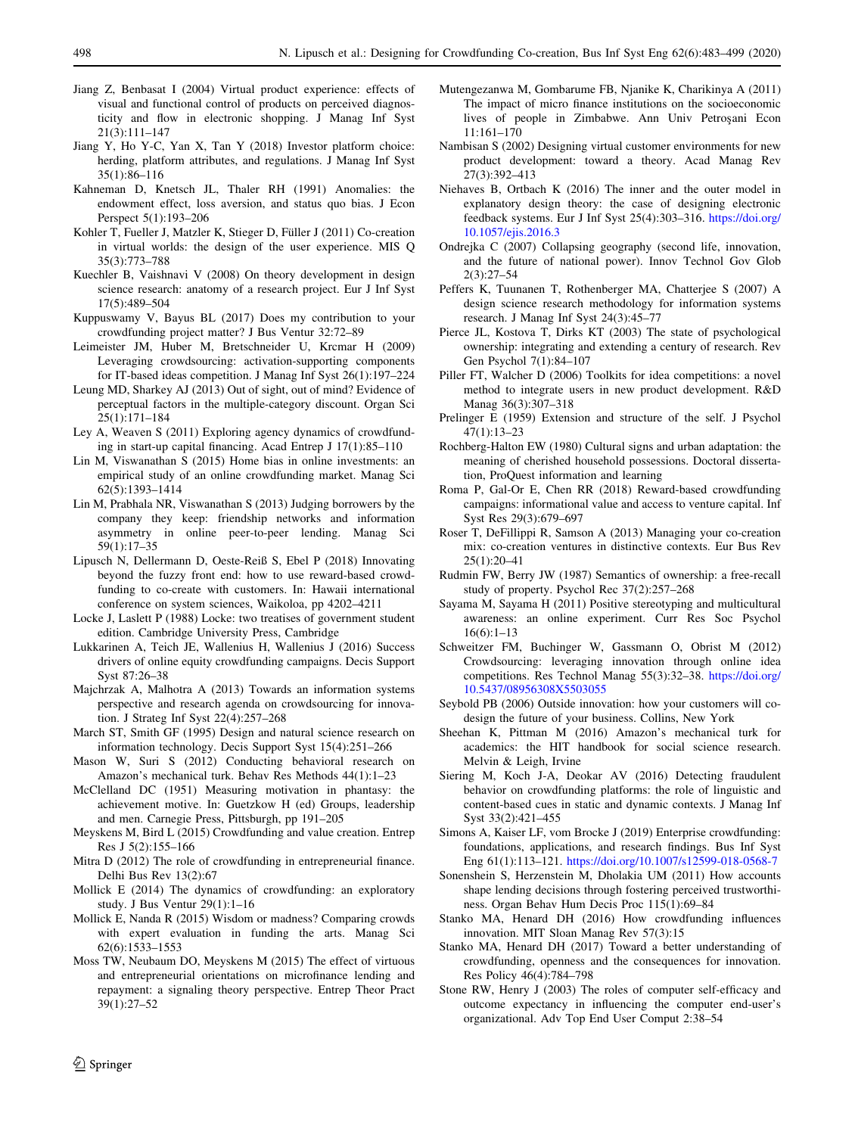- <span id="page-15-0"></span>Jiang Z, Benbasat I (2004) Virtual product experience: effects of visual and functional control of products on perceived diagnosticity and flow in electronic shopping. J Manag Inf Syst 21(3):111–147
- Jiang Y, Ho Y-C, Yan X, Tan Y (2018) Investor platform choice: herding, platform attributes, and regulations. J Manag Inf Syst 35(1):86–116
- Kahneman D, Knetsch JL, Thaler RH (1991) Anomalies: the endowment effect, loss aversion, and status quo bias. J Econ Perspect 5(1):193–206
- Kohler T, Fueller J, Matzler K, Stieger D, Füller J (2011) Co-creation in virtual worlds: the design of the user experience. MIS Q 35(3):773–788
- Kuechler B, Vaishnavi V (2008) On theory development in design science research: anatomy of a research project. Eur J Inf Syst 17(5):489–504
- Kuppuswamy V, Bayus BL (2017) Does my contribution to your crowdfunding project matter? J Bus Ventur 32:72–89
- Leimeister JM, Huber M, Bretschneider U, Krcmar H (2009) Leveraging crowdsourcing: activation-supporting components for IT-based ideas competition. J Manag Inf Syst 26(1):197–224
- Leung MD, Sharkey AJ (2013) Out of sight, out of mind? Evidence of perceptual factors in the multiple-category discount. Organ Sci 25(1):171–184
- Ley A, Weaven S (2011) Exploring agency dynamics of crowdfunding in start-up capital financing. Acad Entrep J 17(1):85–110
- Lin M, Viswanathan S (2015) Home bias in online investments: an empirical study of an online crowdfunding market. Manag Sci 62(5):1393–1414
- Lin M, Prabhala NR, Viswanathan S (2013) Judging borrowers by the company they keep: friendship networks and information asymmetry in online peer-to-peer lending. Manag Sci 59(1):17–35
- Lipusch N, Dellermann D, Oeste-Reiß S, Ebel P (2018) Innovating beyond the fuzzy front end: how to use reward-based crowdfunding to co-create with customers. In: Hawaii international conference on system sciences, Waikoloa, pp 4202–4211
- Locke J, Laslett P (1988) Locke: two treatises of government student edition. Cambridge University Press, Cambridge
- Lukkarinen A, Teich JE, Wallenius H, Wallenius J (2016) Success drivers of online equity crowdfunding campaigns. Decis Support Syst 87:26–38
- Majchrzak A, Malhotra A (2013) Towards an information systems perspective and research agenda on crowdsourcing for innovation. J Strateg Inf Syst 22(4):257–268
- March ST, Smith GF (1995) Design and natural science research on information technology. Decis Support Syst 15(4):251–266
- Mason W, Suri S (2012) Conducting behavioral research on Amazon's mechanical turk. Behav Res Methods 44(1):1–23
- McClelland DC (1951) Measuring motivation in phantasy: the achievement motive. In: Guetzkow H (ed) Groups, leadership and men. Carnegie Press, Pittsburgh, pp 191–205
- Meyskens M, Bird L (2015) Crowdfunding and value creation. Entrep Res J 5(2):155–166
- Mitra D (2012) The role of crowdfunding in entrepreneurial finance. Delhi Bus Rev 13(2):67
- Mollick E (2014) The dynamics of crowdfunding: an exploratory study. J Bus Ventur 29(1):1–16
- Mollick E, Nanda R (2015) Wisdom or madness? Comparing crowds with expert evaluation in funding the arts. Manag Sci 62(6):1533–1553
- Moss TW, Neubaum DO, Meyskens M (2015) The effect of virtuous and entrepreneurial orientations on microfinance lending and repayment: a signaling theory perspective. Entrep Theor Pract 39(1):27–52
- Mutengezanwa M, Gombarume FB, Njanike K, Charikinya A (2011) The impact of micro finance institutions on the socioeconomic lives of people in Zimbabwe. Ann Univ Petroşani Econ 11:161–170
- Nambisan S (2002) Designing virtual customer environments for new product development: toward a theory. Acad Manag Rev 27(3):392–413
- Niehaves B, Ortbach K (2016) The inner and the outer model in explanatory design theory: the case of designing electronic feedback systems. Eur J Inf Syst 25(4):303–316. [https://doi.org/](https://doi.org/10.1057/ejis.2016.3) [10.1057/ejis.2016.3](https://doi.org/10.1057/ejis.2016.3)
- Ondrejka C (2007) Collapsing geography (second life, innovation, and the future of national power). Innov Technol Gov Glob 2(3):27–54
- Peffers K, Tuunanen T, Rothenberger MA, Chatterjee S (2007) A design science research methodology for information systems research. J Manag Inf Syst 24(3):45–77
- Pierce JL, Kostova T, Dirks KT (2003) The state of psychological ownership: integrating and extending a century of research. Rev Gen Psychol 7(1):84–107
- Piller FT, Walcher D (2006) Toolkits for idea competitions: a novel method to integrate users in new product development. R&D Manag 36(3):307–318
- Prelinger E (1959) Extension and structure of the self. J Psychol 47(1):13–23
- Rochberg-Halton EW (1980) Cultural signs and urban adaptation: the meaning of cherished household possessions. Doctoral dissertation, ProQuest information and learning
- Roma P, Gal-Or E, Chen RR (2018) Reward-based crowdfunding campaigns: informational value and access to venture capital. Inf Syst Res 29(3):679–697
- Roser T, DeFillippi R, Samson A (2013) Managing your co-creation mix: co-creation ventures in distinctive contexts. Eur Bus Rev 25(1):20–41
- Rudmin FW, Berry JW (1987) Semantics of ownership: a free-recall study of property. Psychol Rec 37(2):257–268
- Sayama M, Sayama H (2011) Positive stereotyping and multicultural awareness: an online experiment. Curr Res Soc Psychol  $16(6): 1-13$
- Schweitzer FM, Buchinger W, Gassmann O, Obrist M (2012) Crowdsourcing: leveraging innovation through online idea competitions. Res Technol Manag 55(3):32–38. [https://doi.org/](https://doi.org/10.5437/08956308X5503055) [10.5437/08956308X5503055](https://doi.org/10.5437/08956308X5503055)
- Seybold PB (2006) Outside innovation: how your customers will codesign the future of your business. Collins, New York
- Sheehan K, Pittman M (2016) Amazon's mechanical turk for academics: the HIT handbook for social science research. Melvin & Leigh, Irvine
- Siering M, Koch J-A, Deokar AV (2016) Detecting fraudulent behavior on crowdfunding platforms: the role of linguistic and content-based cues in static and dynamic contexts. J Manag Inf Syst 33(2):421–455
- Simons A, Kaiser LF, vom Brocke J (2019) Enterprise crowdfunding: foundations, applications, and research findings. Bus Inf Syst Eng 61(1):113–121. <https://doi.org/10.1007/s12599-018-0568-7>
- Sonenshein S, Herzenstein M, Dholakia UM (2011) How accounts shape lending decisions through fostering perceived trustworthiness. Organ Behav Hum Decis Proc 115(1):69–84
- Stanko MA, Henard DH (2016) How crowdfunding influences innovation. MIT Sloan Manag Rev 57(3):15
- Stanko MA, Henard DH (2017) Toward a better understanding of crowdfunding, openness and the consequences for innovation. Res Policy 46(4):784–798
- Stone RW, Henry J (2003) The roles of computer self-efficacy and outcome expectancy in influencing the computer end-user's organizational. Adv Top End User Comput 2:38–54